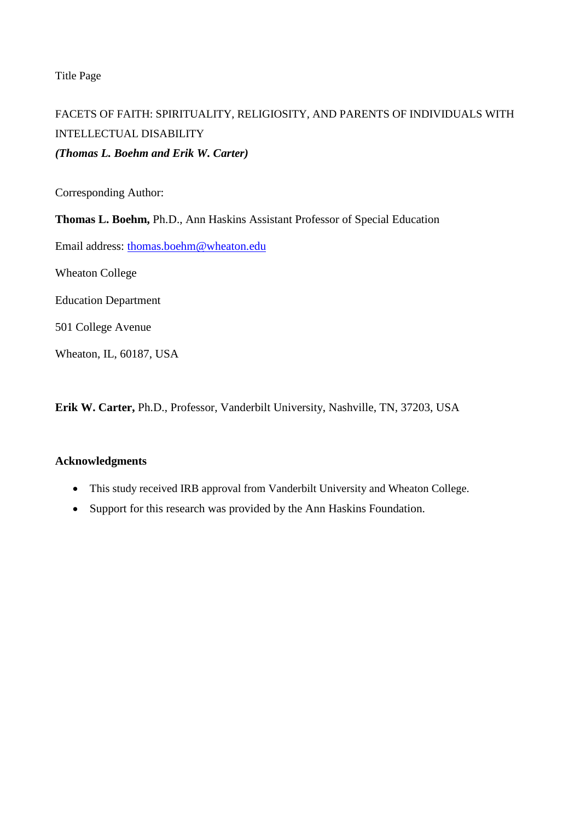Title Page

# FACETS OF FAITH: SPIRITUALITY, RELIGIOSITY, AND PARENTS OF INDIVIDUALS WITH INTELLECTUAL DISABILITY *(Thomas L. Boehm and Erik W. Carter)*

Corresponding Author:

**Thomas L. Boehm,** Ph.D., Ann Haskins Assistant Professor of Special Education

Email address: [thomas.boehm@wheaton.edu](mailto:thomas.boehm@wheaton.edu)

Wheaton College

Education Department

501 College Avenue

Wheaton, IL, 60187, USA

**Erik W. Carter,** Ph.D., Professor, Vanderbilt University, Nashville, TN, 37203, USA

# **Acknowledgments**

- This study received IRB approval from Vanderbilt University and Wheaton College.
- Support for this research was provided by the Ann Haskins Foundation.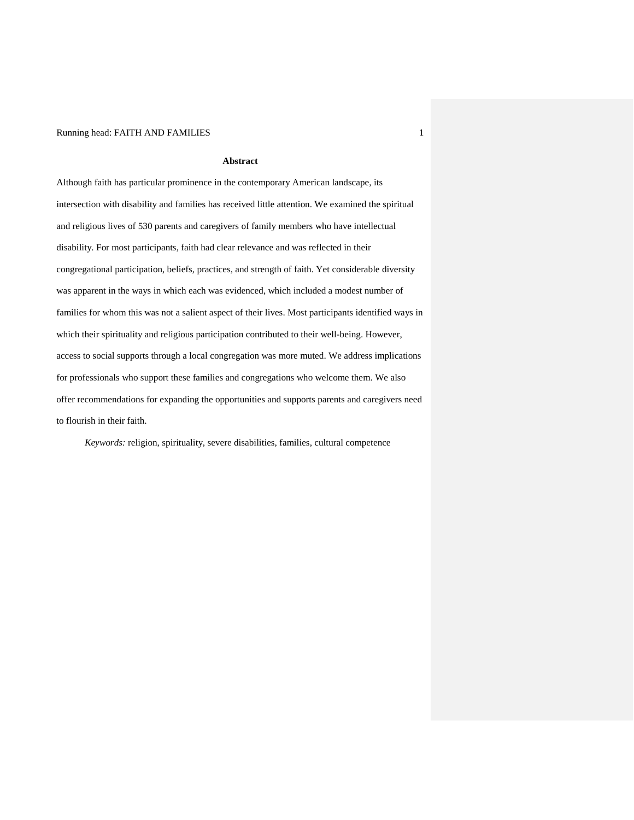#### Running head: FAITH AND FAMILIES 1

#### **Abstract**

Although faith has particular prominence in the contemporary American landscape, its intersection with disability and families has received little attention. We examined the spiritual and religious lives of 530 parents and caregivers of family members who have intellectual disability. For most participants, faith had clear relevance and was reflected in their congregational participation, beliefs, practices, and strength of faith. Yet considerable diversity was apparent in the ways in which each was evidenced, which included a modest number of families for whom this was not a salient aspect of their lives. Most participants identified ways in which their spirituality and religious participation contributed to their well-being. However, access to social supports through a local congregation was more muted. We address implications for professionals who support these families and congregations who welcome them. We also offer recommendations for expanding the opportunities and supports parents and caregivers need to flourish in their faith.

*Keywords:* religion, spirituality, severe disabilities, families, cultural competence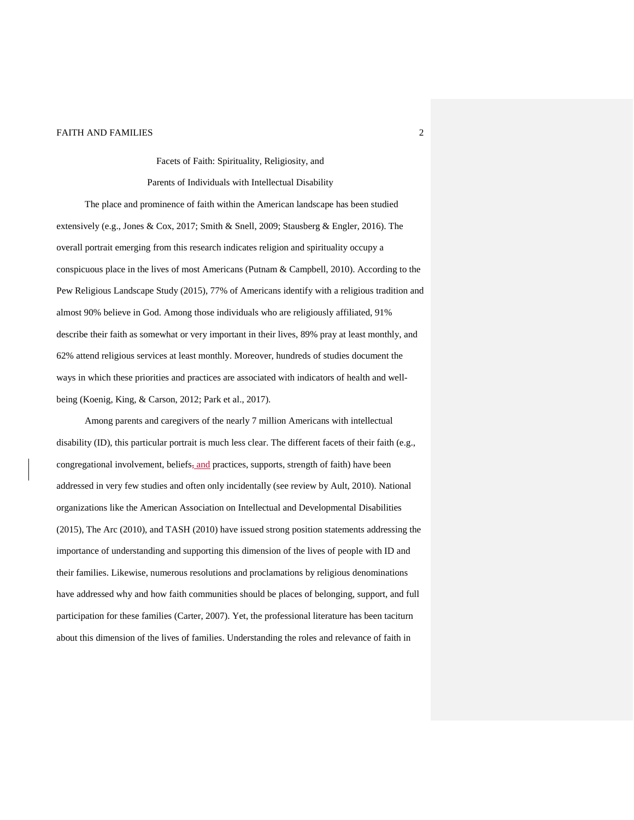Facets of Faith: Spirituality, Religiosity, and

Parents of Individuals with Intellectual Disability

The place and prominence of faith within the American landscape has been studied extensively (e.g., Jones & Cox, 2017; Smith & Snell, 2009; Stausberg & Engler, 2016). The overall portrait emerging from this research indicates religion and spirituality occupy a conspicuous place in the lives of most Americans (Putnam & Campbell, 2010). According to the Pew Religious Landscape Study (2015), 77% of Americans identify with a religious tradition and almost 90% believe in God. Among those individuals who are religiously affiliated, 91% describe their faith as somewhat or very important in their lives, 89% pray at least monthly, and 62% attend religious services at least monthly. Moreover, hundreds of studies document the ways in which these priorities and practices are associated with indicators of health and wellbeing (Koenig, King, & Carson, 2012; Park et al., 2017).

Among parents and caregivers of the nearly 7 million Americans with intellectual disability (ID), this particular portrait is much less clear. The different facets of their faith (e.g., congregational involvement, beliefs, and practices, supports, strength of faith) have been addressed in very few studies and often only incidentally (see review by Ault, 2010). National organizations like the American Association on Intellectual and Developmental Disabilities (2015), The Arc (2010), and TASH (2010) have issued strong position statements addressing the importance of understanding and supporting this dimension of the lives of people with ID and their families. Likewise, numerous resolutions and proclamations by religious denominations have addressed why and how faith communities should be places of belonging, support, and full participation for these families (Carter, 2007). Yet, the professional literature has been taciturn about this dimension of the lives of families. Understanding the roles and relevance of faith in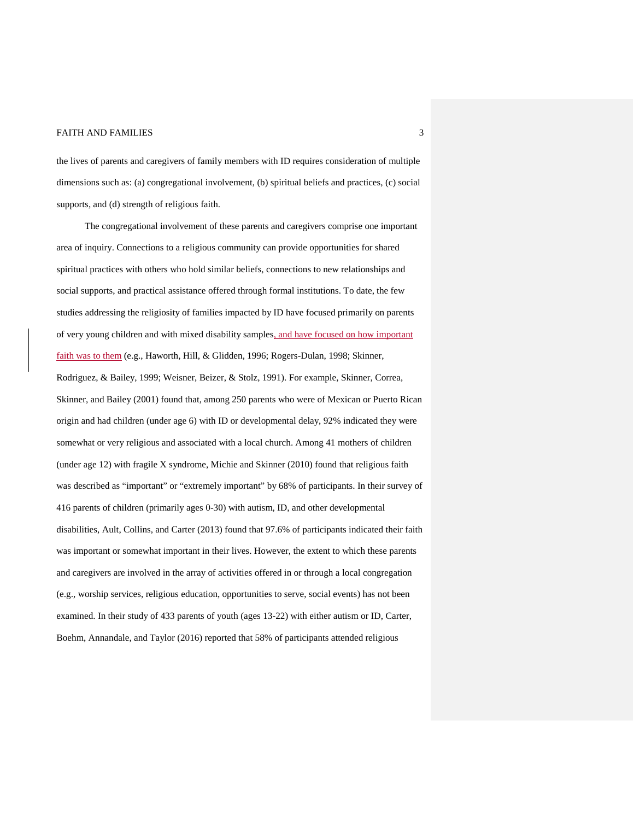the lives of parents and caregivers of family members with ID requires consideration of multiple dimensions such as: (a) congregational involvement, (b) spiritual beliefs and practices, (c) social supports, and (d) strength of religious faith.

The congregational involvement of these parents and caregivers comprise one important area of inquiry. Connections to a religious community can provide opportunities for shared spiritual practices with others who hold similar beliefs, connections to new relationships and social supports, and practical assistance offered through formal institutions. To date, the few studies addressing the religiosity of families impacted by ID have focused primarily on parents of very young children and with mixed disability samples, and have focused on how important faith was to them (e.g., Haworth, Hill, & Glidden, 1996; Rogers-Dulan, 1998; Skinner, Rodriguez, & Bailey, 1999; Weisner, Beizer, & Stolz, 1991). For example, Skinner, Correa, Skinner, and Bailey (2001) found that, among 250 parents who were of Mexican or Puerto Rican origin and had children (under age 6) with ID or developmental delay, 92% indicated they were somewhat or very religious and associated with a local church. Among 41 mothers of children (under age 12) with fragile X syndrome, Michie and Skinner (2010) found that religious faith was described as "important" or "extremely important" by 68% of participants. In their survey of 416 parents of children (primarily ages 0-30) with autism, ID, and other developmental disabilities, Ault, Collins, and Carter (2013) found that 97.6% of participants indicated their faith was important or somewhat important in their lives. However, the extent to which these parents and caregivers are involved in the array of activities offered in or through a local congregation (e.g., worship services, religious education, opportunities to serve, social events) has not been examined. In their study of 433 parents of youth (ages 13-22) with either autism or ID, Carter, Boehm, Annandale, and Taylor (2016) reported that 58% of participants attended religious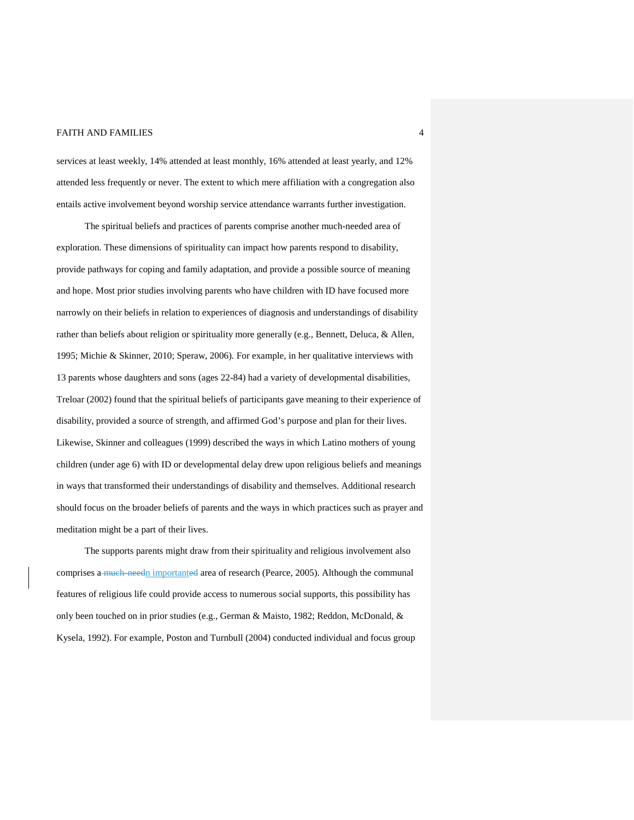services at least weekly, 14% attended at least monthly, 16% attended at least yearly, and 12% attended less frequently or never. The extent to which mere affiliation with a congregation also entails active involvement beyond worship service attendance warrants further investigation.

The spiritual beliefs and practices of parents comprise another much-needed area of exploration. These dimensions of spirituality can impact how parents respond to disability, provide pathways for coping and family adaptation, and provide a possible source of meaning and hope. Most prior studies involving parents who have children with ID have focused more narrowly on their beliefs in relation to experiences of diagnosis and understandings of disability rather than beliefs about religion or spirituality more generally (e.g., Bennett, Deluca, & Allen, 1995; Michie & Skinner, 2010; Speraw, 2006). For example, in her qualitative interviews with 13 parents whose daughters and sons (ages 22-84) had a variety of developmental disabilities, Treloar (2002) found that the spiritual beliefs of participants gave meaning to their experience of disability, provided a source of strength, and affirmed God's purpose and plan for their lives. Likewise, Skinner and colleagues (1999) described the ways in which Latino mothers of young children (under age 6) with ID or developmental delay drew upon religious beliefs and meanings in ways that transformed their understandings of disability and themselves. Additional research should focus on the broader beliefs of parents and the ways in which practices such as prayer and meditation might be a part of their lives.

The supports parents might draw from their spirituality and religious involvement also comprises a much needn importanted area of research (Pearce, 2005). Although the communal features of religious life could provide access to numerous social supports, this possibility has only been touched on in prior studies (e.g., German & Maisto, 1982; Reddon, McDonald, & Kysela, 1992). For example, Poston and Turnbull (2004) conducted individual and focus group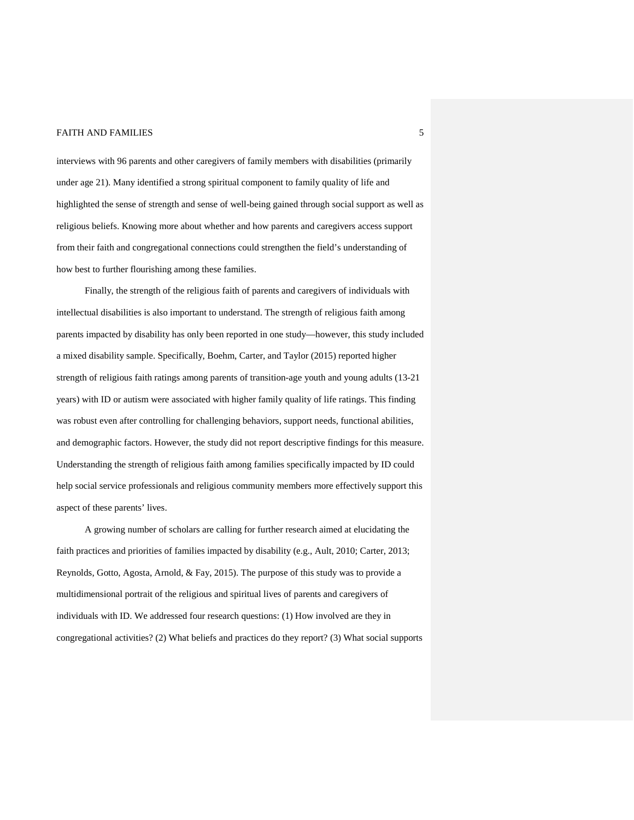interviews with 96 parents and other caregivers of family members with disabilities (primarily under age 21). Many identified a strong spiritual component to family quality of life and highlighted the sense of strength and sense of well-being gained through social support as well as religious beliefs. Knowing more about whether and how parents and caregivers access support from their faith and congregational connections could strengthen the field's understanding of how best to further flourishing among these families.

Finally, the strength of the religious faith of parents and caregivers of individuals with intellectual disabilities is also important to understand. The strength of religious faith among parents impacted by disability has only been reported in one study—however, this study included a mixed disability sample. Specifically, Boehm, Carter, and Taylor (2015) reported higher strength of religious faith ratings among parents of transition-age youth and young adults (13-21 years) with ID or autism were associated with higher family quality of life ratings. This finding was robust even after controlling for challenging behaviors, support needs, functional abilities, and demographic factors. However, the study did not report descriptive findings for this measure. Understanding the strength of religious faith among families specifically impacted by ID could help social service professionals and religious community members more effectively support this aspect of these parents' lives.

A growing number of scholars are calling for further research aimed at elucidating the faith practices and priorities of families impacted by disability (e.g., Ault, 2010; Carter, 2013; Reynolds, Gotto, Agosta, Arnold, & Fay, 2015). The purpose of this study was to provide a multidimensional portrait of the religious and spiritual lives of parents and caregivers of individuals with ID. We addressed four research questions: (1) How involved are they in congregational activities? (2) What beliefs and practices do they report? (3) What social supports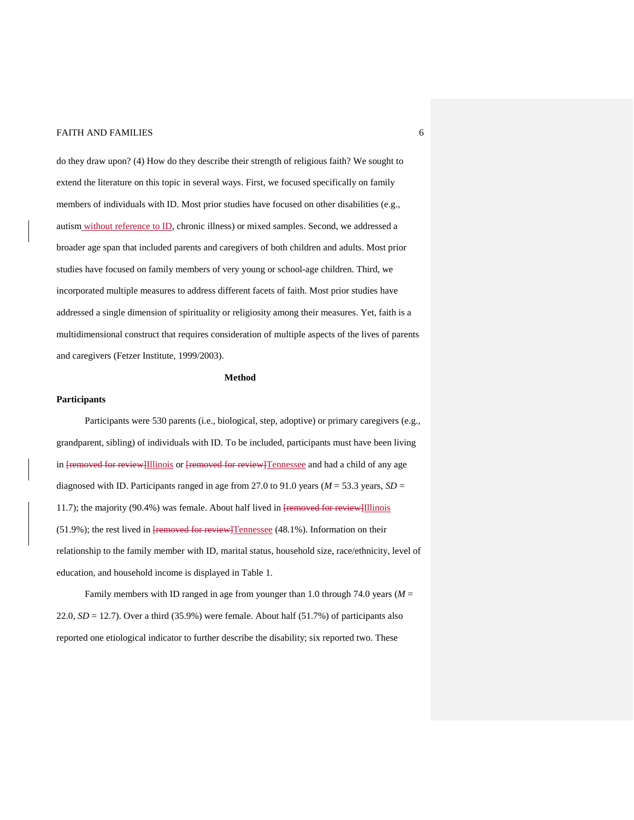do they draw upon? (4) How do they describe their strength of religious faith? We sought to extend the literature on this topic in several ways. First, we focused specifically on family members of individuals with ID. Most prior studies have focused on other disabilities (e.g., autism without reference to ID, chronic illness) or mixed samples. Second, we addressed a broader age span that included parents and caregivers of both children and adults. Most prior studies have focused on family members of very young or school-age children. Third, we incorporated multiple measures to address different facets of faith. Most prior studies have addressed a single dimension of spirituality or religiosity among their measures. Yet, faith is a multidimensional construct that requires consideration of multiple aspects of the lives of parents and caregivers (Fetzer Institute, 1999/2003).

#### **Method**

#### **Participants**

Participants were 530 parents (i.e., biological, step, adoptive) or primary caregivers (e.g., grandparent, sibling) of individuals with ID. To be included, participants must have been living in [removed for review]Illinois or [removed for review]Tennessee and had a child of any age diagnosed with ID. Participants ranged in age from 27.0 to 91.0 years ( $M = 53.3$  years,  $SD =$ 11.7); the majority (90.4%) was female. About half lived in **[removed for review**] Illinois (51.9%); the rest lived in **[removed for review]Tennessee** (48.1%). Information on their relationship to the family member with ID, marital status, household size, race/ethnicity, level of education, and household income is displayed in Table 1.

Family members with ID ranged in age from younger than 1.0 through 74.0 years (*M* = 22.0,  $SD = 12.7$ ). Over a third (35.9%) were female. About half (51.7%) of participants also reported one etiological indicator to further describe the disability; six reported two. These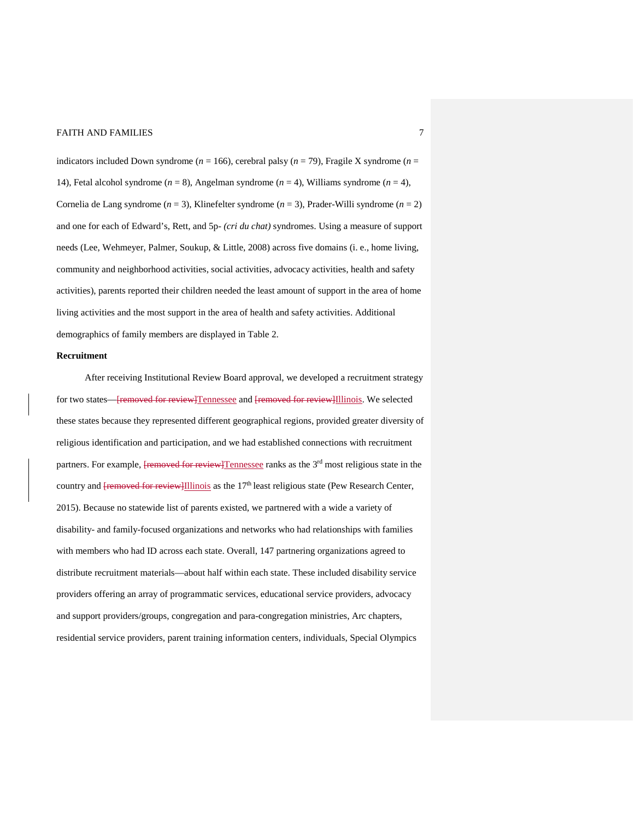indicators included Down syndrome ( $n = 166$ ), cerebral palsy ( $n = 79$ ), Fragile X syndrome ( $n =$ 14), Fetal alcohol syndrome (*n* = 8), Angelman syndrome (*n* = 4), Williams syndrome (*n* = 4), Cornelia de Lang syndrome (*n* = 3), Klinefelter syndrome (*n* = 3), Prader-Willi syndrome (*n* = 2) and one for each of Edward's, Rett, and 5p- *(cri du chat)* syndromes. Using a measure of support needs (Lee, Wehmeyer, Palmer, Soukup, & Little, 2008) across five domains (i. e., home living, community and neighborhood activities, social activities, advocacy activities, health and safety activities), parents reported their children needed the least amount of support in the area of home living activities and the most support in the area of health and safety activities. Additional demographics of family members are displayed in Table 2.

#### **Recruitment**

After receiving Institutional Review Board approval, we developed a recruitment strategy for two states—[removed for review]Tennessee and [removed for review]Illinois. We selected these states because they represented different geographical regions, provided greater diversity of religious identification and participation, and we had established connections with recruitment partners. For example, **[removed for review]**Tennessee ranks as the 3<sup>rd</sup> most religious state in the country and <del>[removed for review]</del>Illinois as the 17<sup>th</sup> least religious state (Pew Research Center, 2015). Because no statewide list of parents existed, we partnered with a wide a variety of disability- and family-focused organizations and networks who had relationships with families with members who had ID across each state. Overall, 147 partnering organizations agreed to distribute recruitment materials—about half within each state. These included disability service providers offering an array of programmatic services, educational service providers, advocacy and support providers/groups, congregation and para-congregation ministries, Arc chapters, residential service providers, parent training information centers, individuals, Special Olympics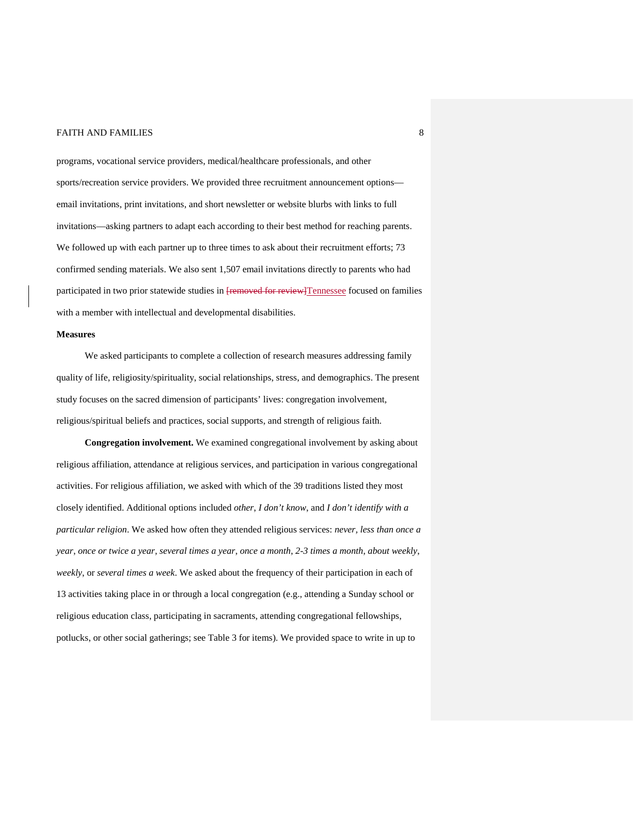programs, vocational service providers, medical/healthcare professionals, and other sports/recreation service providers. We provided three recruitment announcement options email invitations, print invitations, and short newsletter or website blurbs with links to full invitations—asking partners to adapt each according to their best method for reaching parents. We followed up with each partner up to three times to ask about their recruitment efforts; 73 confirmed sending materials. We also sent 1,507 email invitations directly to parents who had participated in two prior statewide studies in **[removed for review]**Tennessee focused on families with a member with intellectual and developmental disabilities.

#### **Measures**

We asked participants to complete a collection of research measures addressing family quality of life, religiosity/spirituality, social relationships, stress, and demographics. The present study focuses on the sacred dimension of participants' lives: congregation involvement, religious/spiritual beliefs and practices, social supports, and strength of religious faith.

**Congregation involvement.** We examined congregational involvement by asking about religious affiliation, attendance at religious services, and participation in various congregational activities. For religious affiliation, we asked with which of the 39 traditions listed they most closely identified. Additional options included *other*, *I don't know*, and *I don't identify with a particular religion*. We asked how often they attended religious services: *never, less than once a year*, *once or twice a year*, *several times a year*, *once a month*, *2-3 times a month*, *about weekly*, *weekly*, or *several times a week*. We asked about the frequency of their participation in each of 13 activities taking place in or through a local congregation (e.g., attending a Sunday school or religious education class, participating in sacraments, attending congregational fellowships, potlucks, or other social gatherings; see Table 3 for items). We provided space to write in up to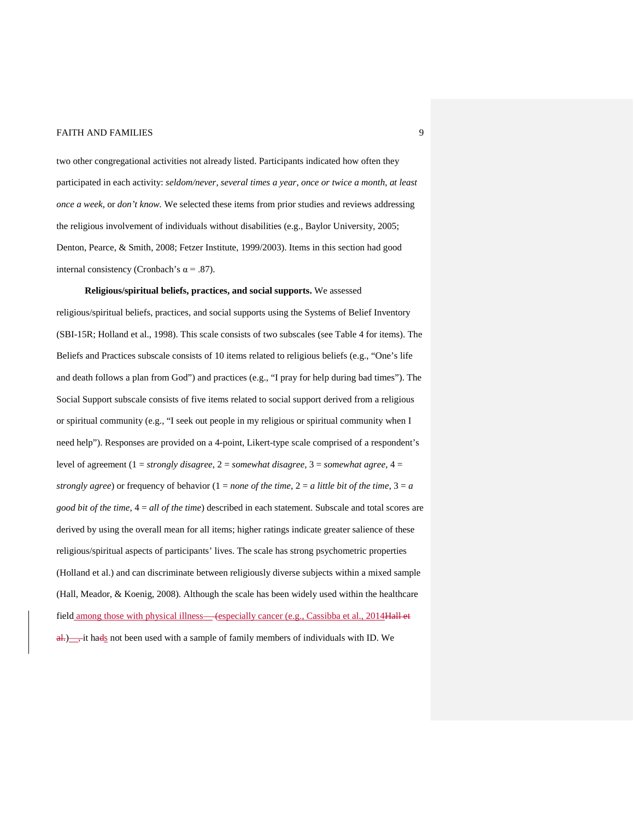two other congregational activities not already listed. Participants indicated how often they participated in each activity: *seldom/never, several times a year, once or twice a month, at least once a week,* or *don't know.* We selected these items from prior studies and reviews addressing the religious involvement of individuals without disabilities (e.g., Baylor University, 2005; Denton, Pearce, & Smith, 2008; Fetzer Institute, 1999/2003). Items in this section had good internal consistency (Cronbach's  $\alpha$  = .87).

**Religious/spiritual beliefs, practices, and social supports.** We assessed religious/spiritual beliefs, practices, and social supports using the Systems of Belief Inventory (SBI-15R; Holland et al., 1998). This scale consists of two subscales (see Table 4 for items). The Beliefs and Practices subscale consists of 10 items related to religious beliefs (e.g., "One's life and death follows a plan from God") and practices (e.g., "I pray for help during bad times"). The Social Support subscale consists of five items related to social support derived from a religious or spiritual community (e.g., "I seek out people in my religious or spiritual community when I need help"). Responses are provided on a 4-point, Likert-type scale comprised of a respondent's level of agreement (1 = *strongly disagree*, 2 = *somewhat disagree*, 3 = *somewhat agree*, 4 = *strongly agree*) or frequency of behavior  $(1 = none$  *of the time*,  $2 = a$  *little bit of the time*,  $3 = a$ *good bit of the time*, 4 = *all of the time*) described in each statement. Subscale and total scores are derived by using the overall mean for all items; higher ratings indicate greater salience of these religious/spiritual aspects of participants' lives. The scale has strong psychometric properties (Holland et al.) and can discriminate between religiously diverse subjects within a mixed sample (Hall, Meador, & Koenig, 2008). Although the scale has been widely used within the healthcare field among those with physical illness—(especially cancer (e.g., Cassibba et al., 2014Hall et al.  $\frac{d}{dx}$  it hads not been used with a sample of family members of individuals with ID. We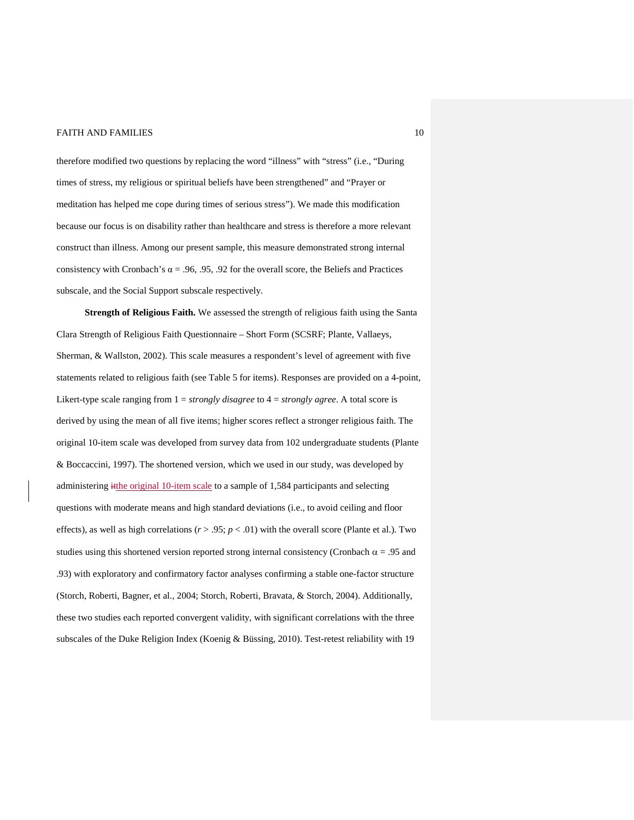therefore modified two questions by replacing the word "illness" with "stress" (i.e., "During times of stress, my religious or spiritual beliefs have been strengthened" and "Prayer or meditation has helped me cope during times of serious stress"). We made this modification because our focus is on disability rather than healthcare and stress is therefore a more relevant construct than illness. Among our present sample, this measure demonstrated strong internal consistency with Cronbach's  $\alpha = .96, .95, .92$  for the overall score, the Beliefs and Practices subscale, and the Social Support subscale respectively.

**Strength of Religious Faith.** We assessed the strength of religious faith using the Santa Clara Strength of Religious Faith Questionnaire – Short Form (SCSRF; Plante, Vallaeys, Sherman, & Wallston, 2002). This scale measures a respondent's level of agreement with five statements related to religious faith (see Table 5 for items). Responses are provided on a 4-point, Likert-type scale ranging from 1 = *strongly disagree* to 4 = *strongly agree*. A total score is derived by using the mean of all five items; higher scores reflect a stronger religious faith. The original 10-item scale was developed from survey data from 102 undergraduate students (Plante & Boccaccini, 1997). The shortened version, which we used in our study, was developed by administering itthe original 10-item scale to a sample of 1,584 participants and selecting questions with moderate means and high standard deviations (i.e., to avoid ceiling and floor effects), as well as high correlations  $(r > .95; p < .01)$  with the overall score (Plante et al.). Two studies using this shortened version reported strong internal consistency (Cronbach  $\alpha$  = .95 and .93) with exploratory and confirmatory factor analyses confirming a stable one-factor structure (Storch, Roberti, Bagner, et al., 2004; Storch, Roberti, Bravata, & Storch, 2004). Additionally, these two studies each reported convergent validity, with significant correlations with the three subscales of the Duke Religion Index (Koenig & Büssing, 2010). Test-retest reliability with 19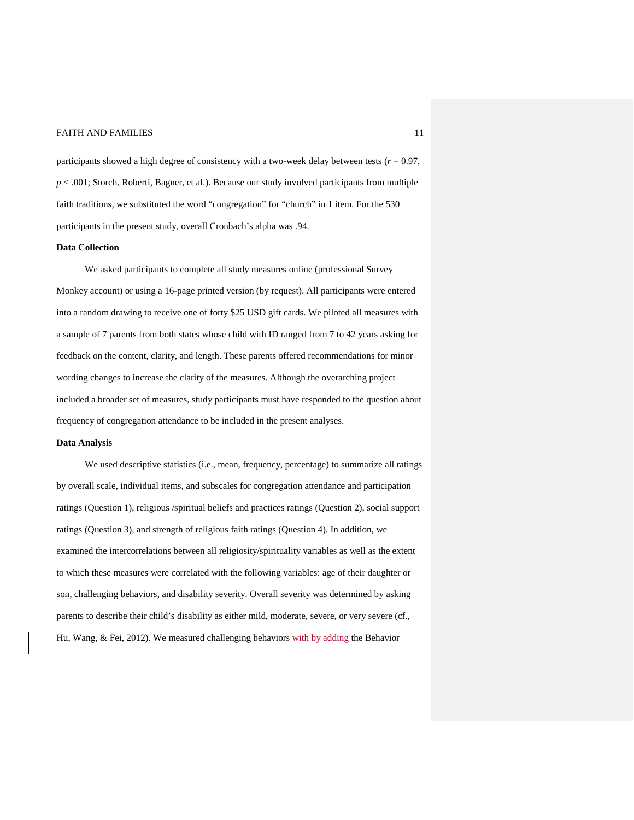participants showed a high degree of consistency with a two-week delay between tests  $(r = 0.97)$ , *p* < .001; Storch, Roberti, Bagner, et al.). Because our study involved participants from multiple faith traditions, we substituted the word "congregation" for "church" in 1 item. For the 530 participants in the present study, overall Cronbach's alpha was .94.

#### **Data Collection**

We asked participants to complete all study measures online (professional Survey Monkey account) or using a 16-page printed version (by request). All participants were entered into a random drawing to receive one of forty \$25 USD gift cards. We piloted all measures with a sample of 7 parents from both states whose child with ID ranged from 7 to 42 years asking for feedback on the content, clarity, and length. These parents offered recommendations for minor wording changes to increase the clarity of the measures. Although the overarching project included a broader set of measures, study participants must have responded to the question about frequency of congregation attendance to be included in the present analyses.

#### **Data Analysis**

We used descriptive statistics (i.e., mean, frequency, percentage) to summarize all ratings by overall scale, individual items, and subscales for congregation attendance and participation ratings (Question 1), religious /spiritual beliefs and practices ratings (Question 2), social support ratings (Question 3), and strength of religious faith ratings (Question 4). In addition, we examined the intercorrelations between all religiosity/spirituality variables as well as the extent to which these measures were correlated with the following variables: age of their daughter or son, challenging behaviors, and disability severity. Overall severity was determined by asking parents to describe their child's disability as either mild, moderate, severe, or very severe (cf., Hu, Wang, & Fei, 2012). We measured challenging behaviors with by adding the Behavior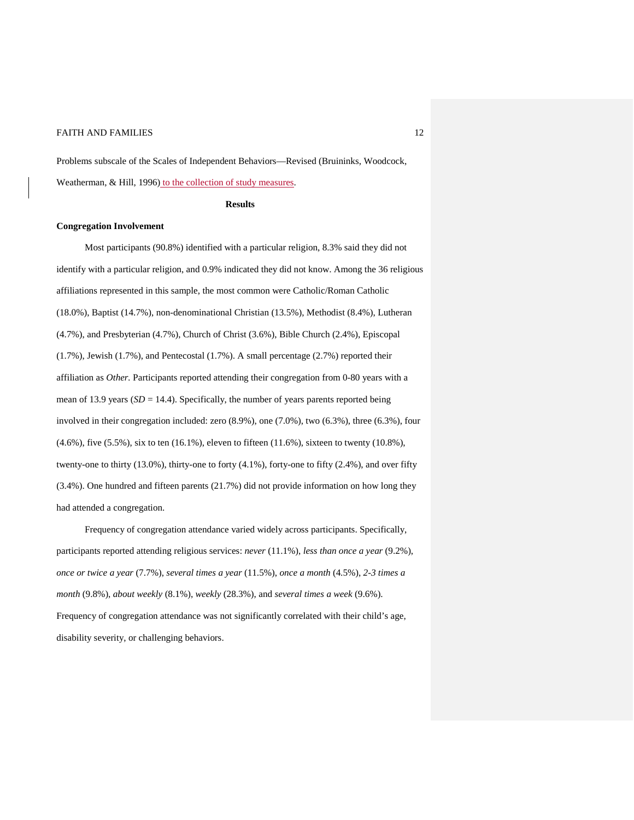Problems subscale of the Scales of Independent Behaviors—Revised (Bruininks, Woodcock, Weatherman, & Hill, 1996) to the collection of study measures.

#### **Results**

#### **Congregation Involvement**

Most participants (90.8%) identified with a particular religion, 8.3% said they did not identify with a particular religion, and 0.9% indicated they did not know. Among the 36 religious affiliations represented in this sample, the most common were Catholic/Roman Catholic (18.0%), Baptist (14.7%), non-denominational Christian (13.5%), Methodist (8.4%), Lutheran (4.7%), and Presbyterian (4.7%), Church of Christ (3.6%), Bible Church (2.4%), Episcopal (1.7%), Jewish (1.7%), and Pentecostal (1.7%). A small percentage (2.7%) reported their affiliation as *Other.* Participants reported attending their congregation from 0-80 years with a mean of 13.9 years  $(SD = 14.4)$ . Specifically, the number of years parents reported being involved in their congregation included: zero (8.9%), one (7.0%), two (6.3%), three (6.3%), four (4.6%), five (5.5%), six to ten (16.1%), eleven to fifteen (11.6%), sixteen to twenty (10.8%), twenty-one to thirty (13.0%), thirty-one to forty (4.1%), forty-one to fifty (2.4%), and over fifty (3.4%). One hundred and fifteen parents (21.7%) did not provide information on how long they had attended a congregation.

Frequency of congregation attendance varied widely across participants. Specifically, participants reported attending religious services: *never* (11.1%), *less than once a year* (9.2%), *once or twice a year* (7.7%), *several times a year* (11.5%), *once a month* (4.5%), *2-3 times a month* (9.8%), *about weekly* (8.1%), *weekly* (28.3%), and *several times a week* (9.6%). Frequency of congregation attendance was not significantly correlated with their child's age, disability severity, or challenging behaviors.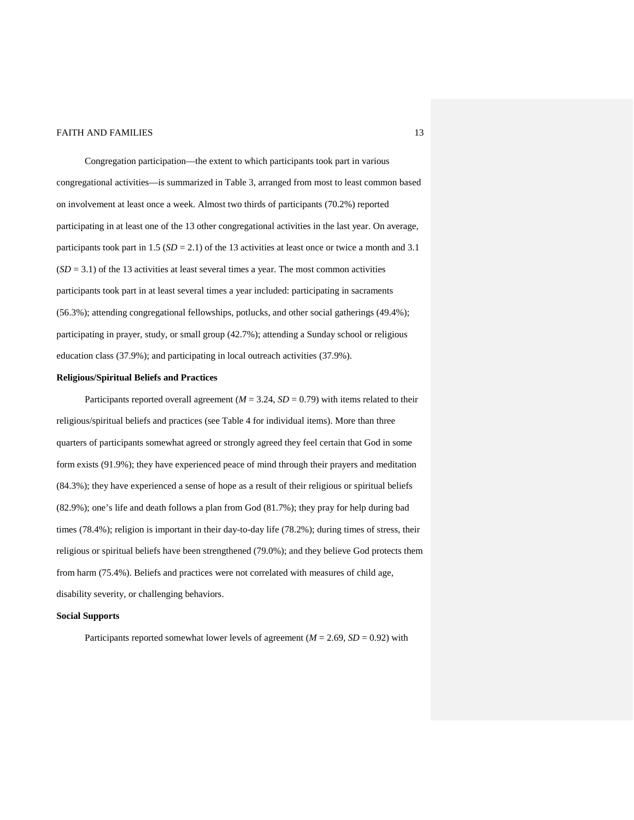Congregation participation—the extent to which participants took part in various congregational activities—is summarized in Table 3, arranged from most to least common based on involvement at least once a week. Almost two thirds of participants (70.2%) reported participating in at least one of the 13 other congregational activities in the last year. On average, participants took part in 1.5 (*SD* = 2.1) of the 13 activities at least once or twice a month and 3.1  $(SD = 3.1)$  of the 13 activities at least several times a year. The most common activities participants took part in at least several times a year included: participating in sacraments (56.3%); attending congregational fellowships, potlucks, and other social gatherings (49.4%); participating in prayer, study, or small group (42.7%); attending a Sunday school or religious education class (37.9%); and participating in local outreach activities (37.9%).

## **Religious/Spiritual Beliefs and Practices**

Participants reported overall agreement ( $M = 3.24$ ,  $SD = 0.79$ ) with items related to their religious/spiritual beliefs and practices (see Table 4 for individual items). More than three quarters of participants somewhat agreed or strongly agreed they feel certain that God in some form exists (91.9%); they have experienced peace of mind through their prayers and meditation (84.3%); they have experienced a sense of hope as a result of their religious or spiritual beliefs (82.9%); one's life and death follows a plan from God (81.7%); they pray for help during bad times (78.4%); religion is important in their day-to-day life (78.2%); during times of stress, their religious or spiritual beliefs have been strengthened (79.0%); and they believe God protects them from harm (75.4%). Beliefs and practices were not correlated with measures of child age, disability severity, or challenging behaviors.

## **Social Supports**

Participants reported somewhat lower levels of agreement ( $M = 2.69$ ,  $SD = 0.92$ ) with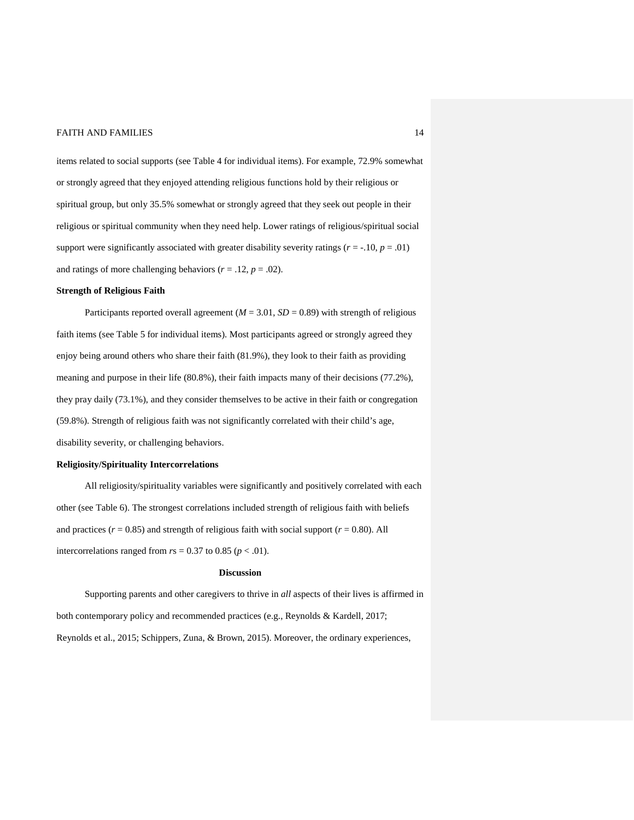items related to social supports (see Table 4 for individual items). For example, 72.9% somewhat or strongly agreed that they enjoyed attending religious functions hold by their religious or spiritual group, but only 35.5% somewhat or strongly agreed that they seek out people in their religious or spiritual community when they need help. Lower ratings of religious/spiritual social support were significantly associated with greater disability severity ratings ( $r = -10$ ,  $p = .01$ ) and ratings of more challenging behaviors ( $r = .12$ ,  $p = .02$ ).

## **Strength of Religious Faith**

Participants reported overall agreement ( $M = 3.01$ ,  $SD = 0.89$ ) with strength of religious faith items (see Table 5 for individual items). Most participants agreed or strongly agreed they enjoy being around others who share their faith (81.9%), they look to their faith as providing meaning and purpose in their life (80.8%), their faith impacts many of their decisions (77.2%), they pray daily (73.1%), and they consider themselves to be active in their faith or congregation (59.8%). Strength of religious faith was not significantly correlated with their child's age, disability severity, or challenging behaviors.

#### **Religiosity/Spirituality Intercorrelations**

All religiosity/spirituality variables were significantly and positively correlated with each other (see Table 6). The strongest correlations included strength of religious faith with beliefs and practices  $(r = 0.85)$  and strength of religious faith with social support  $(r = 0.80)$ . All intercorrelations ranged from  $rs = 0.37$  to 0.85 ( $p < .01$ ).

#### **Discussion**

Supporting parents and other caregivers to thrive in *all* aspects of their lives is affirmed in both contemporary policy and recommended practices (e.g., Reynolds & Kardell, 2017; Reynolds et al., 2015; Schippers, Zuna, & Brown, 2015). Moreover, the ordinary experiences,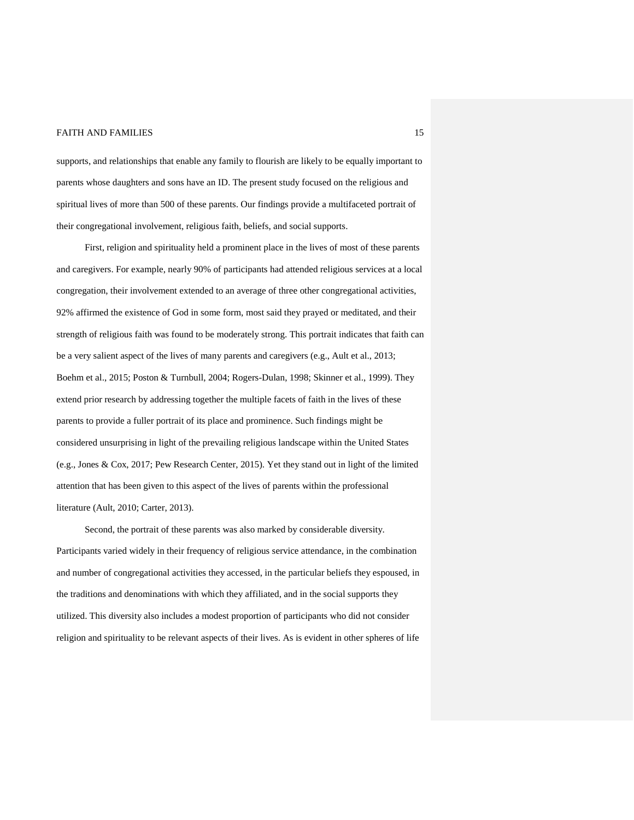supports, and relationships that enable any family to flourish are likely to be equally important to parents whose daughters and sons have an ID. The present study focused on the religious and spiritual lives of more than 500 of these parents. Our findings provide a multifaceted portrait of their congregational involvement, religious faith, beliefs, and social supports.

First, religion and spirituality held a prominent place in the lives of most of these parents and caregivers. For example, nearly 90% of participants had attended religious services at a local congregation, their involvement extended to an average of three other congregational activities, 92% affirmed the existence of God in some form, most said they prayed or meditated, and their strength of religious faith was found to be moderately strong. This portrait indicates that faith can be a very salient aspect of the lives of many parents and caregivers (e.g., Ault et al., 2013; Boehm et al., 2015; Poston & Turnbull, 2004; Rogers-Dulan, 1998; Skinner et al., 1999). They extend prior research by addressing together the multiple facets of faith in the lives of these parents to provide a fuller portrait of its place and prominence. Such findings might be considered unsurprising in light of the prevailing religious landscape within the United States (e.g., Jones & Cox, 2017; Pew Research Center, 2015). Yet they stand out in light of the limited attention that has been given to this aspect of the lives of parents within the professional literature (Ault, 2010; Carter, 2013).

Second, the portrait of these parents was also marked by considerable diversity. Participants varied widely in their frequency of religious service attendance, in the combination and number of congregational activities they accessed, in the particular beliefs they espoused, in the traditions and denominations with which they affiliated, and in the social supports they utilized. This diversity also includes a modest proportion of participants who did not consider religion and spirituality to be relevant aspects of their lives. As is evident in other spheres of life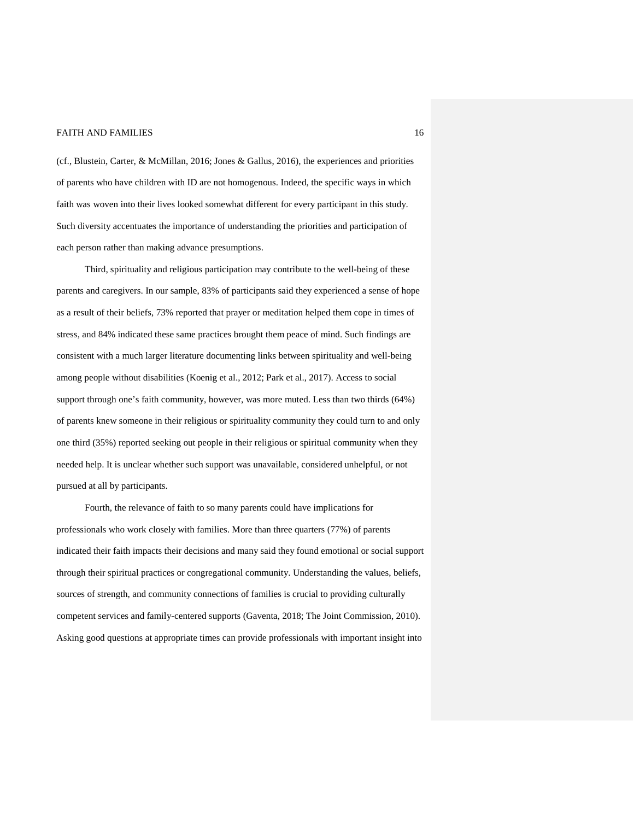(cf., Blustein, Carter, & McMillan, 2016; Jones & Gallus, 2016), the experiences and priorities of parents who have children with ID are not homogenous. Indeed, the specific ways in which faith was woven into their lives looked somewhat different for every participant in this study. Such diversity accentuates the importance of understanding the priorities and participation of each person rather than making advance presumptions.

Third, spirituality and religious participation may contribute to the well-being of these parents and caregivers. In our sample, 83% of participants said they experienced a sense of hope as a result of their beliefs, 73% reported that prayer or meditation helped them cope in times of stress, and 84% indicated these same practices brought them peace of mind. Such findings are consistent with a much larger literature documenting links between spirituality and well-being among people without disabilities (Koenig et al., 2012; Park et al., 2017). Access to social support through one's faith community, however, was more muted. Less than two thirds (64%) of parents knew someone in their religious or spirituality community they could turn to and only one third (35%) reported seeking out people in their religious or spiritual community when they needed help. It is unclear whether such support was unavailable, considered unhelpful, or not pursued at all by participants.

Fourth, the relevance of faith to so many parents could have implications for professionals who work closely with families. More than three quarters (77%) of parents indicated their faith impacts their decisions and many said they found emotional or social support through their spiritual practices or congregational community. Understanding the values, beliefs, sources of strength, and community connections of families is crucial to providing culturally competent services and family-centered supports (Gaventa, 2018; The Joint Commission, 2010). Asking good questions at appropriate times can provide professionals with important insight into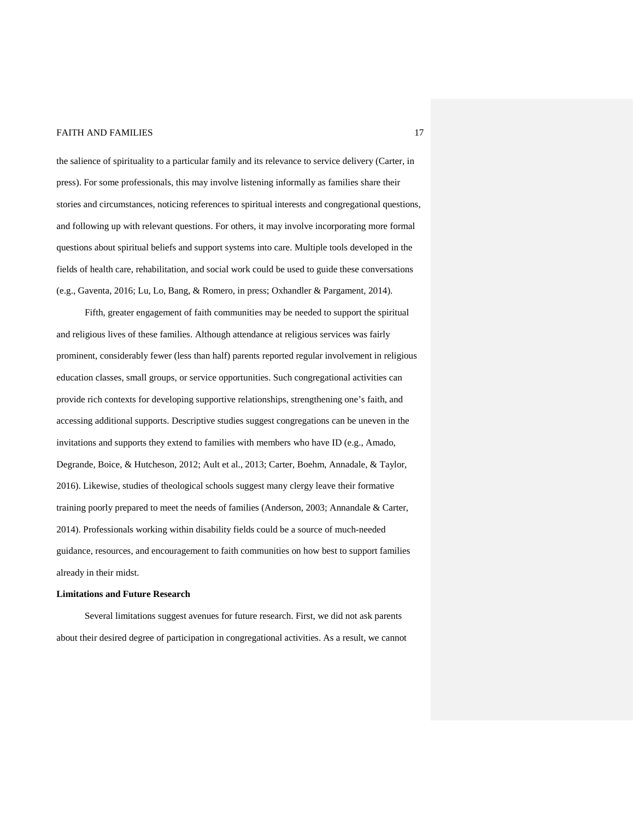the salience of spirituality to a particular family and its relevance to service delivery (Carter, in press). For some professionals, this may involve listening informally as families share their stories and circumstances, noticing references to spiritual interests and congregational questions, and following up with relevant questions. For others, it may involve incorporating more formal questions about spiritual beliefs and support systems into care. Multiple tools developed in the fields of health care, rehabilitation, and social work could be used to guide these conversations (e.g., Gaventa, 2016; Lu, Lo, Bang, & Romero, in press; Oxhandler & Pargament, 2014).

Fifth, greater engagement of faith communities may be needed to support the spiritual and religious lives of these families. Although attendance at religious services was fairly prominent, considerably fewer (less than half) parents reported regular involvement in religious education classes, small groups, or service opportunities. Such congregational activities can provide rich contexts for developing supportive relationships, strengthening one's faith, and accessing additional supports. Descriptive studies suggest congregations can be uneven in the invitations and supports they extend to families with members who have ID (e.g., Amado, Degrande, Boice, & Hutcheson, 2012; Ault et al., 2013; Carter, Boehm, Annadale, & Taylor, 2016). Likewise, studies of theological schools suggest many clergy leave their formative training poorly prepared to meet the needs of families (Anderson, 2003; Annandale & Carter, 2014). Professionals working within disability fields could be a source of much-needed guidance, resources, and encouragement to faith communities on how best to support families already in their midst.

#### **Limitations and Future Research**

Several limitations suggest avenues for future research. First, we did not ask parents about their desired degree of participation in congregational activities. As a result, we cannot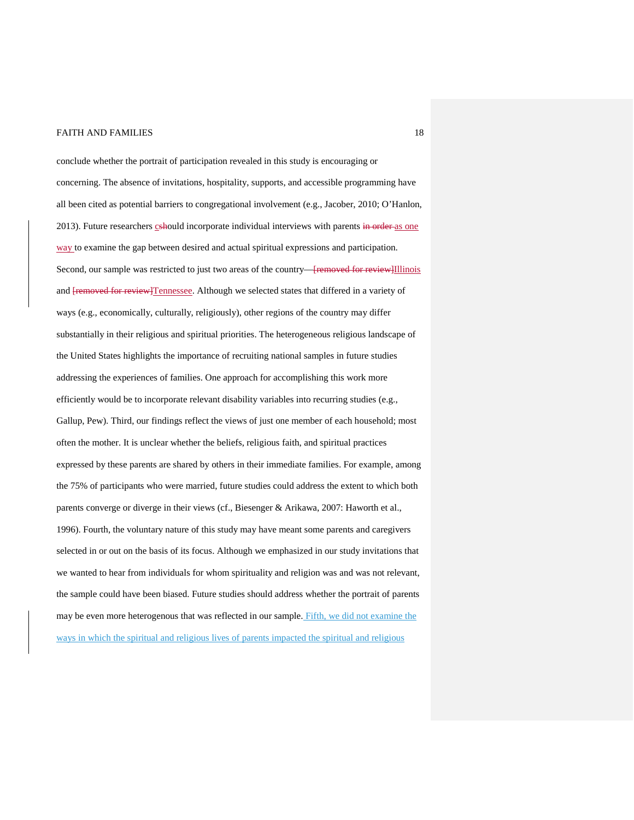conclude whether the portrait of participation revealed in this study is encouraging or concerning. The absence of invitations, hospitality, supports, and accessible programming have all been cited as potential barriers to congregational involvement (e.g., Jacober, 2010; O'Hanlon, 2013). Future researchers cshould incorporate individual interviews with parents in order as one way to examine the gap between desired and actual spiritual expressions and participation. Second, our sample was restricted to just two areas of the country—<del>[removed for review]</del>Illinois and [removed for review]Tennessee. Although we selected states that differed in a variety of ways (e.g., economically, culturally, religiously), other regions of the country may differ substantially in their religious and spiritual priorities. The heterogeneous religious landscape of the United States highlights the importance of recruiting national samples in future studies addressing the experiences of families. One approach for accomplishing this work more efficiently would be to incorporate relevant disability variables into recurring studies (e.g., Gallup, Pew). Third, our findings reflect the views of just one member of each household; most often the mother. It is unclear whether the beliefs, religious faith, and spiritual practices expressed by these parents are shared by others in their immediate families. For example, among the 75% of participants who were married, future studies could address the extent to which both parents converge or diverge in their views (cf., Biesenger & Arikawa, 2007: Haworth et al., 1996). Fourth, the voluntary nature of this study may have meant some parents and caregivers selected in or out on the basis of its focus. Although we emphasized in our study invitations that we wanted to hear from individuals for whom spirituality and religion was and was not relevant, the sample could have been biased. Future studies should address whether the portrait of parents may be even more heterogenous that was reflected in our sample. Fifth, we did not examine the ways in which the spiritual and religious lives of parents impacted the spiritual and religious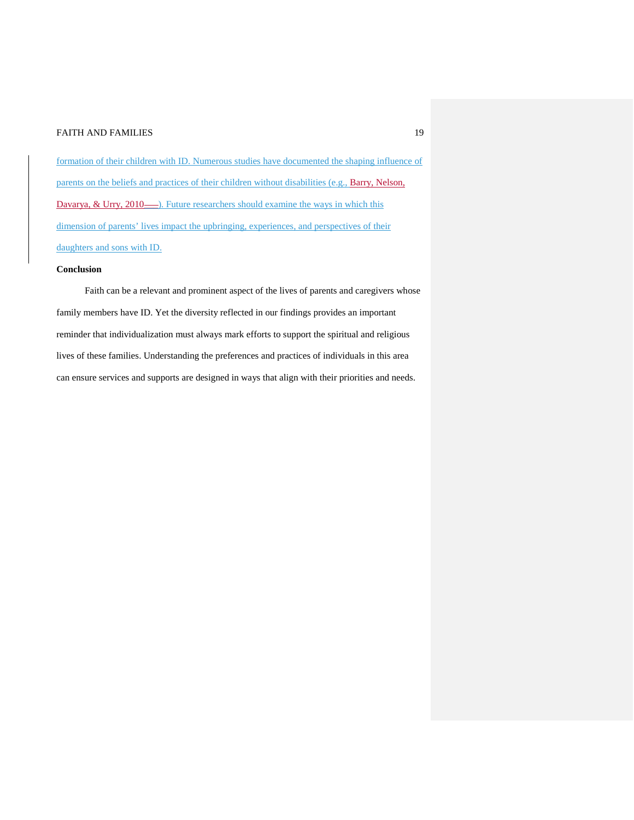formation of their children with ID. Numerous studies have documented the shaping influence of parents on the beliefs and practices of their children without disabilities (e.g., Barry, Nelson, Davarya, & Urry, 2010—). Future researchers should examine the ways in which this dimension of parents' lives impact the upbringing, experiences, and perspectives of their daughters and sons with ID.

## **Conclusion**

Faith can be a relevant and prominent aspect of the lives of parents and caregivers whose family members have ID. Yet the diversity reflected in our findings provides an important reminder that individualization must always mark efforts to support the spiritual and religious lives of these families. Understanding the preferences and practices of individuals in this area can ensure services and supports are designed in ways that align with their priorities and needs.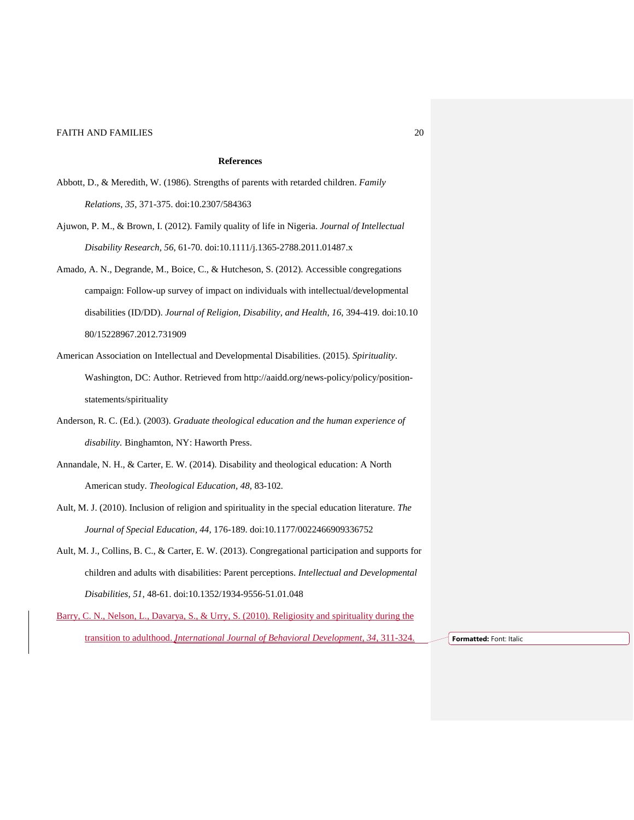#### **References**

- Abbott, D., & Meredith, W. (1986). Strengths of parents with retarded children. *Family Relations*, *35*, 371-375. doi:10.2307/584363
- Ajuwon, P. M., & Brown, I. (2012). Family quality of life in Nigeria. *Journal of Intellectual Disability Research, 56*, 61-70. doi:10.1111/j.1365-2788.2011.01487.x
- Amado, A. N., Degrande, M., Boice, C., & Hutcheson, S. (2012). Accessible congregations campaign: Follow-up survey of impact on individuals with intellectual/developmental disabilities (ID/DD). *Journal of Religion, Disability, and Health*, *16*, 394-419. doi:10.10 80/15228967.2012.731909
- American Association on Intellectual and Developmental Disabilities. (2015). *Spirituality*. Washington, DC: Author. Retrieved from http://aaidd.org/news-policy/policy/positionstatements/spirituality
- Anderson, R. C. (Ed.). (2003). *Graduate theological education and the human experience of disability.* Binghamton, NY: Haworth Press.
- Annandale, N. H., & Carter, E. W. (2014). Disability and theological education: A North American study. *Theological Education, 48,* 83-102*.*
- Ault, M. J. (2010). Inclusion of religion and spirituality in the special education literature. *The Journal of Special Education, 44,* 176-189. doi:10.1177/0022466909336752
- Ault, M. J., Collins, B. C., & Carter, E. W. (2013). Congregational participation and supports for children and adults with disabilities: Parent perceptions. *Intellectual and Developmental Disabilities, 51,* 48-61. doi:10.1352/1934-9556-51.01.048
- Barry, C. N., Nelson, L., Davarya, S., & Urry, S. (2010). Religiosity and spirituality during the transition to adulthood. *International Journal of Behavioral Development, 34*, 311-324. **Formatted:** Font: Italic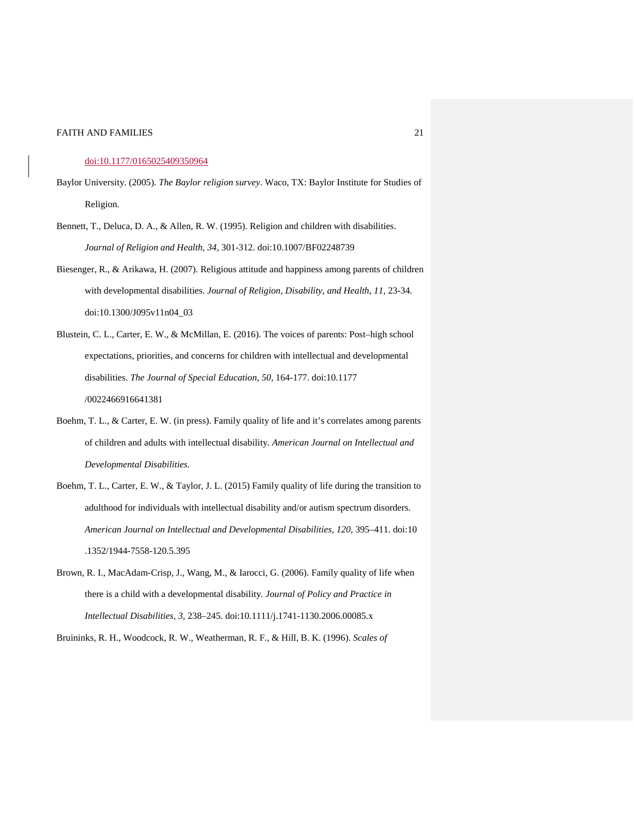#### doi:10.1177/0165025409350964

- Baylor University. (2005). *The Baylor religion survey*. Waco, TX: Baylor Institute for Studies of Religion.
- Bennett, T., Deluca, D. A., & Allen, R. W. (1995). Religion and children with disabilities. *Journal of Religion and Health, 34,* 301-312. doi:10.1007/BF02248739
- Biesenger, R., & Arikawa, H. (2007). Religious attitude and happiness among parents of children with developmental disabilities. *Journal of Religion, Disability, and Health, 11,* 23-34. doi:10.1300/J095v11n04\_03
- Blustein, C. L., Carter, E. W., & McMillan, E. (2016). The voices of parents: Post–high school expectations, priorities, and concerns for children with intellectual and developmental disabilities. *The Journal of Special Education, 50,* 164-177. doi:10.1177 /0022466916641381
- Boehm, T. L., & Carter, E. W. (in press). Family quality of life and it's correlates among parents of children and adults with intellectual disability. *American Journal on Intellectual and Developmental Disabilities.*
- Boehm, T. L., Carter, E. W., & Taylor, J. L. (2015) Family quality of life during the transition to adulthood for individuals with intellectual disability and/or autism spectrum disorders. *American Journal on Intellectual and Developmental Disabilities, 120*, 395–411. doi:10 .1352/1944-7558-120.5.395
- Brown, R. I., MacAdam-Crisp, J., Wang, M., & Iarocci, G. (2006). Family quality of life when there is a child with a developmental disability. *Journal of Policy and Practice in Intellectual Disabilities, 3*, 238–245. doi:10.1111/j.1741-1130.2006.00085.x
- Bruininks, R. H., Woodcock, R. W., Weatherman, R. F., & Hill, B. K. (1996). *Scales of*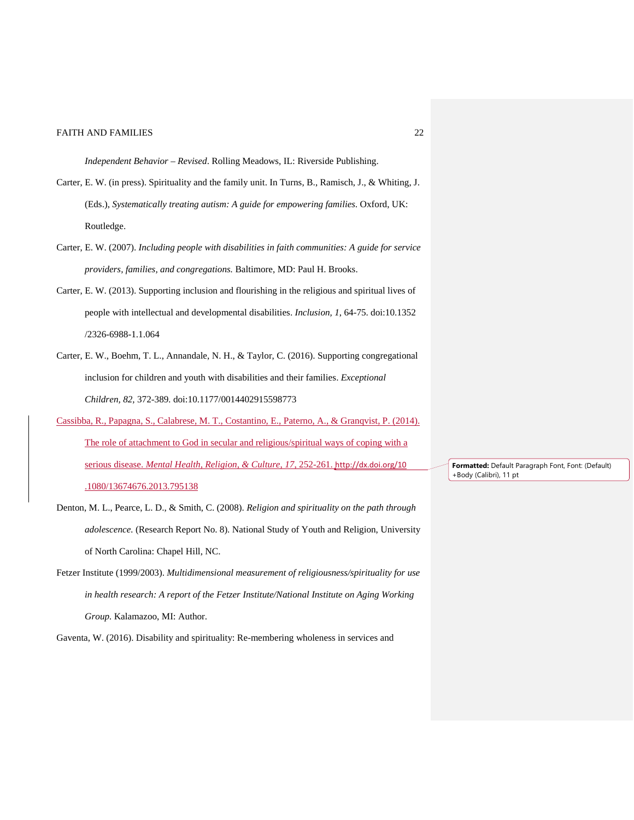*Independent Behavior – Revised*. Rolling Meadows, IL: Riverside Publishing.

- Carter, E. W. (in press). Spirituality and the family unit. In Turns, B., Ramisch, J., & Whiting, J. (Eds.), *Systematically treating autism: A guide for empowering families.* Oxford, UK: Routledge.
- Carter, E. W. (2007). *Including people with disabilities in faith communities: A guide for service providers, families, and congregations.* Baltimore, MD: Paul H. Brooks.
- Carter, E. W. (2013). Supporting inclusion and flourishing in the religious and spiritual lives of people with intellectual and developmental disabilities. *Inclusion, 1*, 64-75. doi:10.1352 /2326-6988-1.1.064
- Carter, E. W., Boehm, T. L., Annandale, N. H., & Taylor, C. (2016). Supporting congregational inclusion for children and youth with disabilities and their families. *Exceptional Children, 82,* 372-389*.* doi:10.1177/0014402915598773
- Cassibba, R., Papagna, S., Calabrese, M. T., Costantino, E., Paterno, A., & Granqvist, P. (2014). The role of attachment to God in secular and religious/spiritual ways of coping with a serious disease. *Mental Health, Religion, & Culture, 17*, 252-261. http://dx.doi.org/10 .1080/13674676.2013.795138
- Denton, M. L., Pearce, L. D., & Smith, C. (2008). *Religion and spirituality on the path through adolescence.* (Research Report No. 8). National Study of Youth and Religion, University of North Carolina: Chapel Hill, NC.
- Fetzer Institute (1999/2003). *Multidimensional measurement of religiousness/spirituality for use in health research: A report of the Fetzer Institute/National Institute on Aging Working Group.* Kalamazoo, MI: Author.

Gaventa, W. (2016). Disability and spirituality: Re-membering wholeness in services and

**Formatted:** Default Paragraph Font, Font: (Default) +Body (Calibri), 11 pt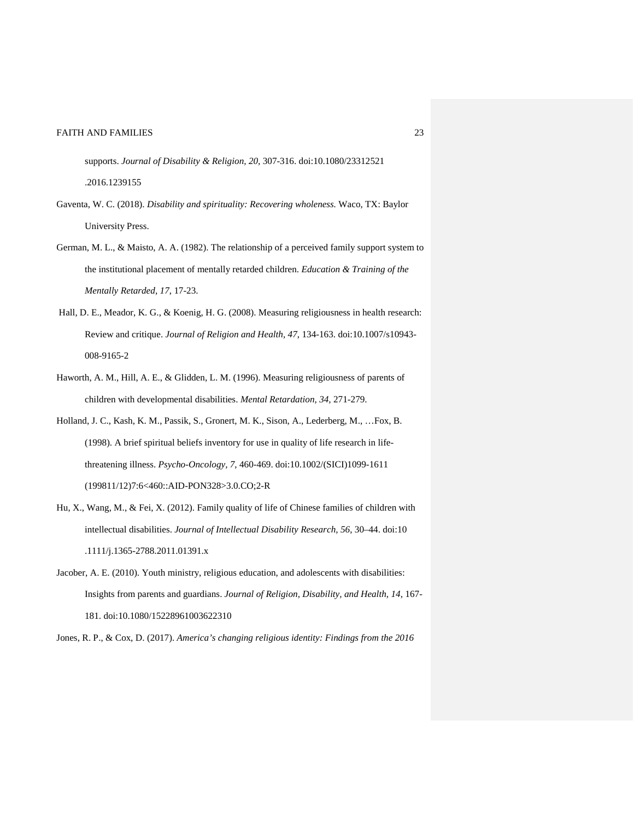supports. *Journal of Disability & Religion, 20,* 307-316. doi:10.1080/23312521 .2016.1239155

- Gaventa, W. C. (2018). *Disability and spirituality: Recovering wholeness.* Waco, TX: Baylor University Press.
- German, M. L., & Maisto, A. A. (1982). The relationship of a perceived family support system to the institutional placement of mentally retarded children. *Education & Training of the Mentally Retarded*, *17*, 17-23.
- Hall, D. E., Meador, K. G., & Koenig, H. G. (2008). Measuring religiousness in health research: Review and critique. *Journal of Religion and Health, 47*, 134-163. doi:10.1007/s10943- 008-9165-2
- Haworth, A. M., Hill, A. E., & Glidden, L. M. (1996). Measuring religiousness of parents of children with developmental disabilities. *Mental Retardation, 34,* 271-279.
- Holland, J. C., Kash, K. M., Passik, S., Gronert, M. K., Sison, A., Lederberg, M., …Fox, B. (1998). A brief spiritual beliefs inventory for use in quality of life research in lifethreatening illness. *Psycho-Oncology, 7*, 460-469. doi:10.1002/(SICI)1099-1611 (199811/12)7:6<460::AID-PON328>3.0.CO;2-R
- Hu, X., Wang, M., & Fei, X. (2012). Family quality of life of Chinese families of children with intellectual disabilities. *Journal of Intellectual Disability Research, 56*, 30–44. doi:10 .1111/j.1365-2788.2011.01391.x
- Jacober, A. E. (2010). Youth ministry, religious education, and adolescents with disabilities: Insights from parents and guardians. *Journal of Religion, Disability, and Health*, *14*, 167- 181. doi:10.1080/15228961003622310

Jones, R. P., & Cox, D. (2017). *America's changing religious identity: Findings from the 2016*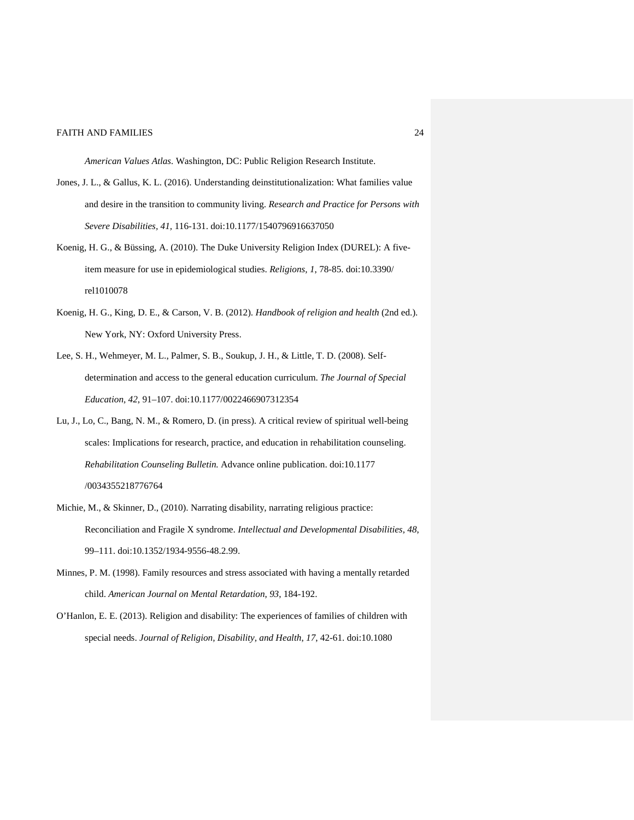*American Values Atlas.* Washington, DC: Public Religion Research Institute.

- Jones, J. L., & Gallus, K. L. (2016). Understanding deinstitutionalization: What families value and desire in the transition to community living. *Research and Practice for Persons with Severe Disabilities, 41,* 116-131. doi:10.1177/1540796916637050
- Koenig, H. G., & Büssing, A. (2010). The Duke University Religion Index (DUREL): A fiveitem measure for use in epidemiological studies. *Religions, 1*, 78-85. doi:10.3390/ rel1010078
- Koenig, H. G., King, D. E., & Carson, V. B. (2012). *Handbook of religion and health* (2nd ed.). New York, NY: Oxford University Press.
- Lee, S. H., Wehmeyer, M. L., Palmer, S. B., Soukup, J. H., & Little, T. D. (2008). Selfdetermination and access to the general education curriculum. *The Journal of Special Education, 42*, 91–107. doi:10.1177/0022466907312354
- Lu, J., Lo, C., Bang, N. M., & Romero, D. (in press). A critical review of spiritual well-being scales: Implications for research, practice, and education in rehabilitation counseling. *Rehabilitation Counseling Bulletin.* Advance online publication. doi:10.1177 /0034355218776764
- Michie, M., & Skinner, D., (2010). Narrating disability, narrating religious practice: Reconciliation and Fragile X syndrome. *Intellectual and Developmental Disabilities, 48*, 99–111. doi:10.1352/1934-9556-48.2.99.
- Minnes, P. M. (1998). Family resources and stress associated with having a mentally retarded child. *American Journal on Mental Retardation*, *93*, 184-192.
- O'Hanlon, E. E. (2013). Religion and disability: The experiences of families of children with special needs. *Journal of Religion, Disability, and Health*, *17*, 42-61. doi:10.1080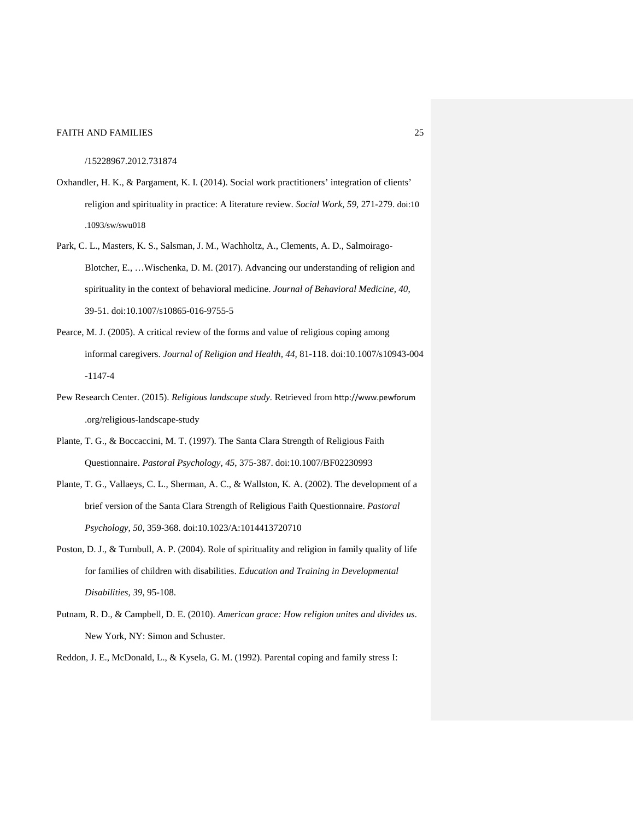/15228967.2012.731874

- Oxhandler, H. K., & Pargament, K. I. (2014). Social work practitioners' integration of clients' religion and spirituality in practice: A literature review. *Social Work, 59,* 271-279. doi:10 .1093/sw/swu018
- Park, C. L., Masters, K. S., Salsman, J. M., Wachholtz, A., Clements, A. D., Salmoirago-Blotcher, E., …Wischenka, D. M. (2017). Advancing our understanding of religion and spirituality in the context of behavioral medicine. *Journal of Behavioral Medicine, 40*, 39-51. doi:10.1007/s10865-016-9755-5
- Pearce, M. J. (2005). A critical review of the forms and value of religious coping among informal caregivers. *Journal of Religion and Health, 44,* 81-118. doi:10.1007/s10943-004 -1147-4
- Pew Research Center. (2015). *Religious landscape study.* Retrieved from http://www.pewforum .org/religious-landscape-study
- Plante, T. G., & Boccaccini, M. T. (1997). The Santa Clara Strength of Religious Faith Questionnaire. *Pastoral Psychology, 45*, 375-387. [doi:10.1007/BF02230993](http://dx.doi.org/10.1007%2FBF02230993)
- Plante, T. G., Vallaeys, C. L., Sherman, A. C., & Wallston, K. A. (2002). The development of a brief version of the Santa Clara Strength of Religious Faith Questionnaire. *Pastoral Psychology, 50*, 359-368. doi:10.1023/A:1014413720710
- Poston, D. J., & Turnbull, A. P. (2004). Role of spirituality and religion in family quality of life for families of children with disabilities. *Education and Training in Developmental Disabilities, 39*, 95-108.
- Putnam, R. D., & Campbell, D. E. (2010). *American grace: How religion unites and divides us.*  New York, NY: Simon and Schuster.
- Reddon, J. E., McDonald, L., & Kysela, G. M. (1992). Parental coping and family stress I: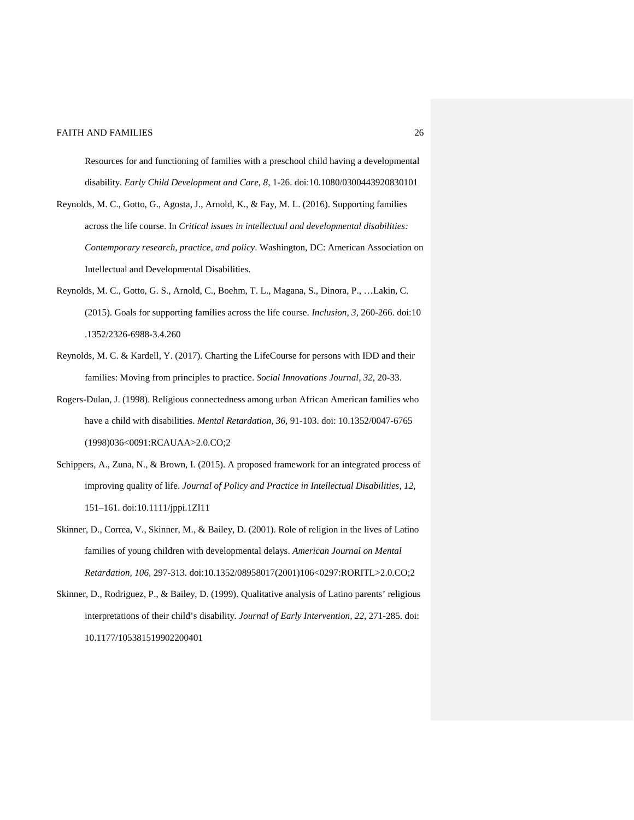Resources for and functioning of families with a preschool child having a developmental disability. *Early Child Development and Care*, *8*, 1-26. doi:10.1080/0300443920830101

- Reynolds, M. C., Gotto, G., Agosta, J., Arnold, K., & Fay, M. L. (2016). Supporting families across the life course. In *Critical issues in intellectual and developmental disabilities: Contemporary research, practice, and policy*. Washington, DC: American Association on Intellectual and Developmental Disabilities.
- Reynolds, M. C., Gotto, G. S., Arnold, C., Boehm, T. L., Magana, S., Dinora, P., …Lakin, C. (2015). Goals for supporting families across the life course. *Inclusion, 3*, 260-266. doi:10 .1352/2326-6988-3.4.260
- Reynolds, M. C. & Kardell, Y. (2017). Charting the LifeCourse for persons with IDD and their families: Moving from principles to practice. *Social Innovations Journal, 32*, 20-33.
- Rogers-Dulan, J. (1998). Religious connectedness among urban African American families who have a child with disabilities. *Mental Retardation, 36*, 91-103. doi: 10.1352/0047-6765 (1998)036<0091:RCAUAA>2.0.CO;2
- Schippers, A., Zuna, N., & Brown, I. (2015). A proposed framework for an integrated process of improving quality of life. *Journal of Policy and Practice in Intellectual Disabilities, 12*, 151–161. doi:10.1111/jppi.1Zl11
- Skinner, D., Correa, V., Skinner, M., & Bailey, D. (2001). Role of religion in the lives of Latino families of young children with developmental delays. *American Journal on Mental Retardation, 106*, 297-313. doi:10.1352/08958017(2001)106<0297:RORITL>2.0.CO;2
- Skinner, D., Rodriguez, P., & Bailey, D. (1999). Qualitative analysis of Latino parents' religious interpretations of their child's disability*. Journal of Early Intervention, 22*, 271-285. doi: 10.1177/105381519902200401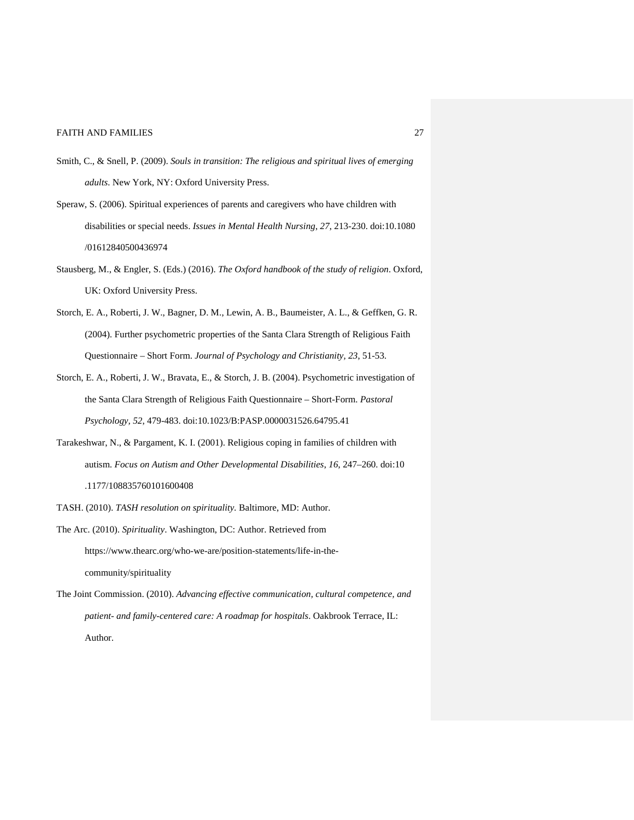- Smith, C., & Snell, P. (2009). *Souls in transition: The religious and spiritual lives of emerging adults.* New York, NY: Oxford University Press.
- Speraw, S. (2006). Spiritual experiences of parents and caregivers who have children with disabilities or special needs. *Issues in Mental Health Nursing*, *27*, 213-230. doi:10.1080 /01612840500436974
- Stausberg, M., & Engler, S. (Eds.) (2016). *The Oxford handbook of the study of religion*. Oxford, UK: Oxford University Press.
- Storch, E. A., Roberti, J. W., Bagner, D. M., Lewin, A. B., Baumeister, A. L., & Geffken, G. R. (2004). Further psychometric properties of the Santa Clara Strength of Religious Faith Questionnaire – Short Form. *Journal of Psychology and Christianity, 23*, 51-53.
- Storch, E. A., Roberti, J. W., Bravata, E., & Storch, J. B. (2004). Psychometric investigation of the Santa Clara Strength of Religious Faith Questionnaire – Short-Form. *Pastoral Psychology, 52*, 479-483. doi:10.1023/B:PASP.0000031526.64795.41
- Tarakeshwar, N., & Pargament, K. I. (2001). Religious coping in families of children with autism. *Focus on Autism and Other Developmental Disabilities*, *16*, 247–260. doi:10 .1177/108835760101600408
- TASH. (2010). *TASH resolution on spirituality.* Baltimore, MD: Author.
- The Arc. (2010). *Spirituality*. Washington, DC: Author. Retrieved from https://www.thearc.org/who-we-are/position-statements/life-in-thecommunity/spirituality
- The Joint Commission. (2010). *Advancing effective communication, cultural competence, and patient- and family-centered care: A roadmap for hospitals*. Oakbrook Terrace, IL: Author.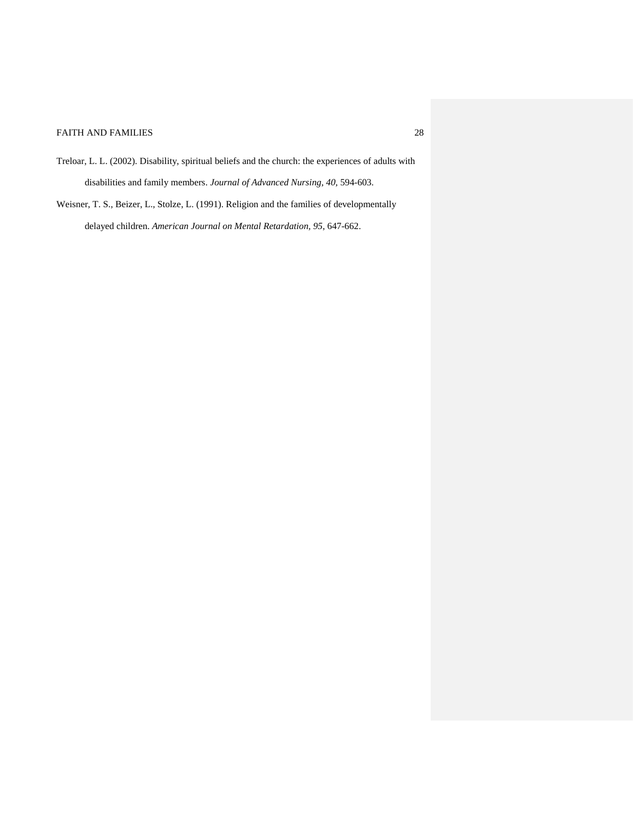- Treloar, L. L. (2002). Disability, spiritual beliefs and the church: the experiences of adults with disabilities and family members. *Journal of Advanced Nursing, 40,* 594-603.
- Weisner, T. S., Beizer, L., Stolze, L. (1991). Religion and the families of developmentally delayed children. *American Journal on Mental Retardation, 95*, 647-662.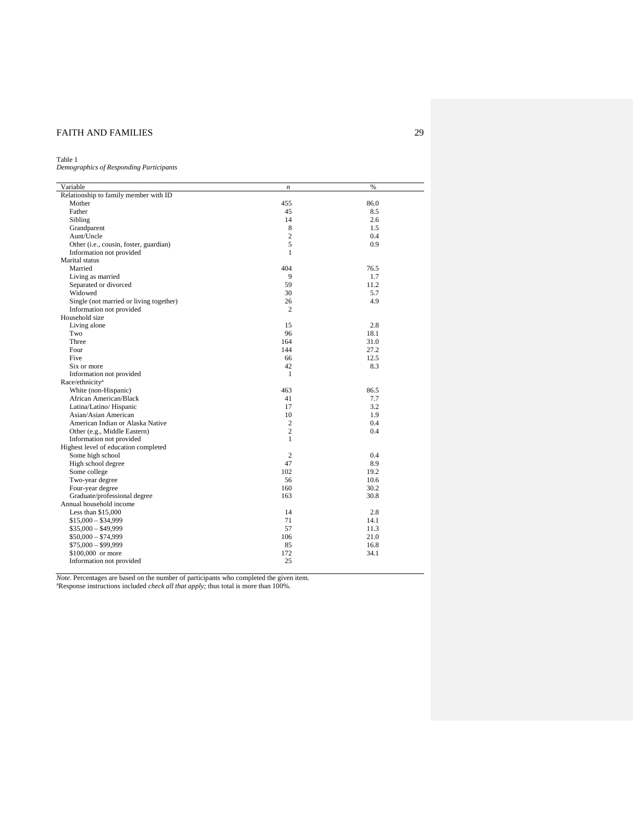#### Table 1

*Demographics of Responding Participants*

| Variable                                | n              | %    |
|-----------------------------------------|----------------|------|
| Relationship to family member with ID   |                |      |
| Mother                                  | 455            | 86.0 |
| Father                                  | 45             | 8.5  |
| Sibling                                 | 14             | 2.6  |
| Grandparent                             | 8              | 1.5  |
| Aunt/Uncle                              | $\overline{c}$ | 0.4  |
| Other (i.e., cousin, foster, guardian)  | 5              | 0.9  |
| Information not provided                | 1              |      |
| Marital status                          |                |      |
| Married                                 | 404            | 76.5 |
| Living as married                       | 9              | 1.7  |
| Separated or divorced                   | 59             | 11.2 |
| Widowed                                 | 30             | 5.7  |
| Single (not married or living together) | 26             | 4.9  |
| Information not provided                | $\overline{c}$ |      |
| Household size                          |                |      |
| Living alone                            | 15             | 2.8  |
| Two                                     | 96             | 18.1 |
| Three                                   | 164            | 31.0 |
| Four                                    | 144            | 27.2 |
| Five                                    | 66             | 12.5 |
| Six or more                             | 42             | 8.3  |
| Information not provided                | 1              |      |
| Race/ethnicity <sup>a</sup>             |                |      |
| White (non-Hispanic)                    | 463            | 86.5 |
| African American/Black                  | 41             | 7.7  |
| Latina/Latino/ Hispanic                 | 17             | 3.2  |
| Asian/Asian American                    | 10             | 1.9  |
| American Indian or Alaska Native        | $\mathfrak{2}$ | 0.4  |
| Other (e.g., Middle Eastern)            | $\mathbf{2}$   | 0.4  |
| Information not provided                | $\mathbf{1}$   |      |
| Highest level of education completed    |                |      |
| Some high school                        | 2              | 0.4  |
| High school degree                      | 47             | 8.9  |
| Some college                            | 102            | 19.2 |
| Two-year degree                         | 56             | 10.6 |
| Four-year degree                        | 160            | 30.2 |
| Graduate/professional degree            | 163            | 30.8 |
| Annual household income                 |                |      |
| Less than $$15,000$                     | 14             | 2.8  |
| $$15,000 - $34,999$                     | 71             | 14.1 |
| $$35,000 - $49,999$                     | 57             | 11.3 |
| $$50,000 - $74,999$                     | 106            | 21.0 |
| $$75,000 - $99,999$                     | 85             | 16.8 |
| \$100,000 or more                       | 172            | 34.1 |
| Information not provided                | 25             |      |

*Note.* Percentages are based on the number of participants who completed the given item.<br><sup>a</sup>Response instructions included *check all that apply;* thus total is more than 100%.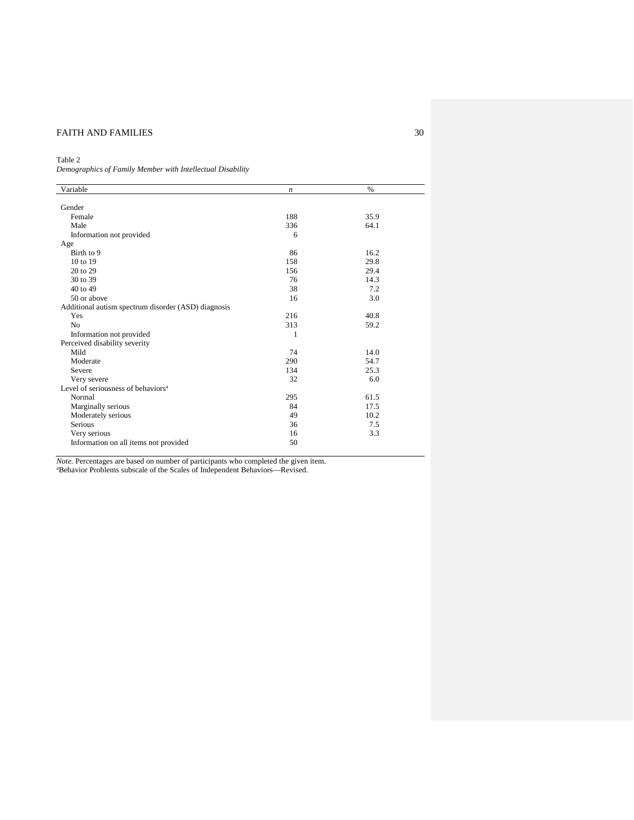# Table 2

*Demographics of Family Member with Intellectual Disability*

| Variable                                            | n   | $\%$ |  |
|-----------------------------------------------------|-----|------|--|
|                                                     |     |      |  |
| Gender                                              |     |      |  |
| Female                                              | 188 | 35.9 |  |
| Male                                                | 336 | 64.1 |  |
| Information not provided                            | 6   |      |  |
| Age                                                 |     |      |  |
| Birth to 9                                          | 86  | 16.2 |  |
| 10 to 19                                            | 158 | 29.8 |  |
| 20 to 29                                            | 156 | 29.4 |  |
| 30 to 39                                            | 76  | 14.3 |  |
| 40 to 49                                            | 38  | 7.2  |  |
| 50 or above                                         | 16  | 3.0  |  |
| Additional autism spectrum disorder (ASD) diagnosis |     |      |  |
| Yes                                                 | 216 | 40.8 |  |
| N <sub>o</sub>                                      | 313 | 59.2 |  |
| Information not provided                            | 1   |      |  |
| Perceived disability severity                       |     |      |  |
| Mild                                                | 74  | 14.0 |  |
| Moderate                                            | 290 | 54.7 |  |
| Severe                                              | 134 | 25.3 |  |
| Very severe                                         | 32  | 6.0  |  |
| Level of seriousness of behaviors <sup>a</sup>      |     |      |  |
| Normal                                              | 295 | 61.5 |  |
| Marginally serious                                  | 84  | 17.5 |  |
| Moderately serious                                  | 49  | 10.2 |  |
| Serious                                             | 36  | 7.5  |  |
| Very serious                                        | 16  | 3.3  |  |
| Information on all items not provided               | 50  |      |  |
|                                                     |     |      |  |

*Note.* Percentages are based on number of participants who completed the given item.<br><sup>a</sup>Behavior Problems subscale of the Scales of Independent Behaviors—Revised.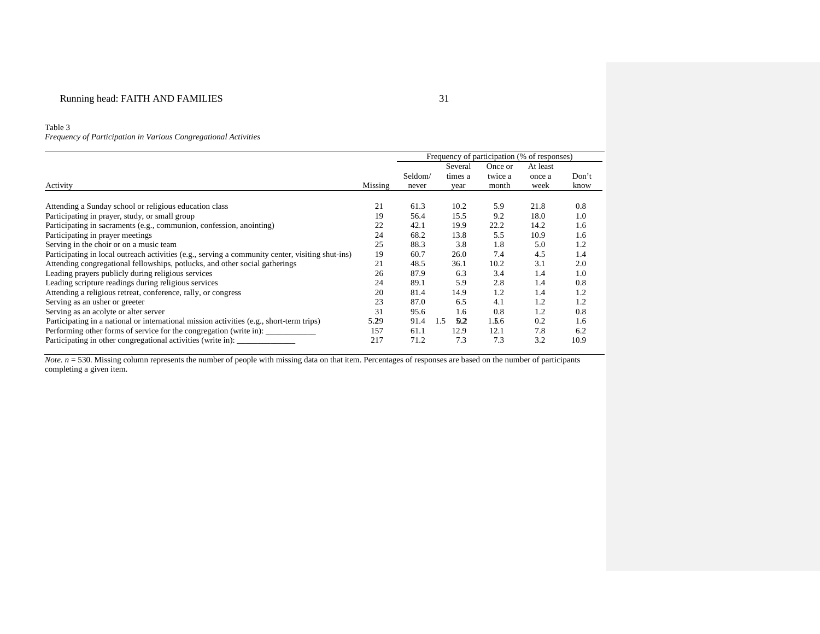#### Table 3

*Frequency of Participation in Various Congregational Activities* 

|                                                                                                  |         | Frequency of participation (% of responses) |            |         |          |       |
|--------------------------------------------------------------------------------------------------|---------|---------------------------------------------|------------|---------|----------|-------|
|                                                                                                  |         |                                             | Several    | Once or | At least |       |
|                                                                                                  |         | Seldom/                                     | times a    | twice a | once a   | Don't |
| Activity                                                                                         | Missing | never                                       | year       | month   | week     | know  |
|                                                                                                  |         |                                             |            |         |          |       |
| Attending a Sunday school or religious education class                                           | 21      | 61.3                                        | 10.2       | 5.9     | 21.8     | 0.8   |
| Participating in prayer, study, or small group                                                   | 19      | 56.4                                        | 15.5       | 9.2     | 18.0     | 1.0   |
| Participating in sacraments (e.g., communion, confession, anointing)                             | 22      | 42.1                                        | 19.9       | 22.2    | 14.2     | 1.6   |
| Participating in prayer meetings                                                                 | 24      | 68.2                                        | 13.8       | 5.5     | 10.9     | 1.6   |
| Serving in the choir or on a music team                                                          | 25      | 88.3                                        | 3.8        | 1.8     | 5.0      | 1.2   |
| Participating in local outreach activities (e.g., serving a community center, visiting shut-ins) | 19      | 60.7                                        | 26.0       | 7.4     | 4.5      | 1.4   |
| Attending congregational fellowships, potlucks, and other social gatherings                      | 21      | 48.5                                        | 36.1       | 10.2    | 3.1      | 2.0   |
| Leading prayers publicly during religious services                                               | 26      | 87.9                                        | 6.3        | 3.4     | 1.4      | 1.0   |
| Leading scripture readings during religious services                                             | 24      | 89.1                                        | 5.9        | 2.8     | 1.4      | 0.8   |
| Attending a religious retreat, conference, rally, or congress                                    | 20      | 81.4                                        | 14.9       | 1.2     | 1.4      | 1.2   |
| Serving as an usher or greeter                                                                   | 23      | 87.0                                        | 6.5        | 4.1     | 1.2      | 1.2   |
| Serving as an acolyte or alter server                                                            | 31      | 95.6                                        | 1.6        | 0.8     | 1.2      | 0.8   |
| Participating in a national or international mission activities (e.g., short-term trips)         | 5.29    | 91.4                                        | 1.5<br>0.2 | 1.5.6   | 0.2      | 1.6   |
| Performing other forms of service for the congregation (write in): _____________                 | 157     | 61.1                                        | 12.9       | 12.1    | 7.8      | 6.2   |
| Participating in other congregational activities (write in):                                     | 217     | 71.2                                        | 7.3        | 7.3     | 3.2      | 10.9  |

*Note. n* = 530. Missing column represents the number of people with missing data on that item. Percentages of responses are based on the number of participants completing a given item.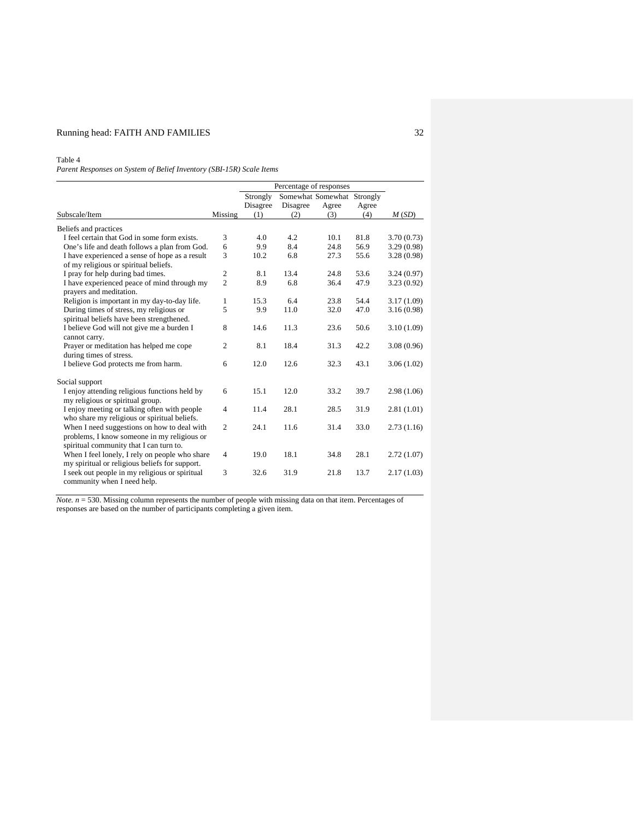# Running head: FAITH AND FAMILIES 32

Table 4

*Parent Responses on System of Belief Inventory (SBI-15R) Scale Items*

|                                                |                | Percentage of responses |          |       |       |            |
|------------------------------------------------|----------------|-------------------------|----------|-------|-------|------------|
|                                                |                | Strongly                |          |       |       |            |
|                                                |                | Disagree                | Disagree | Agree | Agree |            |
| Subscale/Item                                  | Missing        | (1)                     | (2)      | (3)   | (4)   | M(SD)      |
| Beliefs and practices                          |                |                         |          |       |       |            |
| I feel certain that God in some form exists.   | 3              | 4.0                     | 4.2      | 10.1  | 81.8  | 3.70(0.73) |
| One's life and death follows a plan from God.  | 6              | 9.9                     | 8.4      | 24.8  | 56.9  | 3.29(0.98) |
| I have experienced a sense of hope as a result | 3              | 10.2                    | 6.8      | 27.3  | 55.6  | 3.28(0.98) |
| of my religious or spiritual beliefs.          |                |                         |          |       |       |            |
| I pray for help during bad times.              | $\overline{2}$ | 8.1                     | 13.4     | 24.8  | 53.6  | 3.24(0.97) |
| I have experienced peace of mind through my    | $\overline{2}$ | 8.9                     | 6.8      | 36.4  | 47.9  | 3.23(0.92) |
| prayers and meditation.                        |                |                         |          |       |       |            |
| Religion is important in my day-to-day life.   | 1              | 15.3                    | 6.4      | 23.8  | 54.4  | 3.17(1.09) |
| During times of stress, my religious or        | 5              | 9.9                     | 11.0     | 32.0  | 47.0  | 3.16(0.98) |
| spiritual beliefs have been strengthened.      |                |                         |          |       |       |            |
| I believe God will not give me a burden I      | 8              | 14.6                    | 11.3     | 23.6  | 50.6  | 3.10(1.09) |
| cannot carry.                                  |                |                         |          |       |       |            |
| Prayer or meditation has helped me cope        | $\overline{2}$ | 8.1                     | 18.4     | 31.3  | 42.2  | 3.08(0.96) |
| during times of stress.                        |                |                         |          |       |       |            |
| I believe God protects me from harm.           | 6              | 12.0                    | 12.6     | 32.3  | 43.1  | 3.06(1.02) |
| Social support                                 |                |                         |          |       |       |            |
| I enjoy attending religious functions held by  | 6              | 15.1                    | 12.0     | 33.2  | 39.7  | 2.98(1.06) |
| my religious or spiritual group.               |                |                         |          |       |       |            |
| I enjoy meeting or talking often with people   | $\overline{4}$ | 11.4                    | 28.1     | 28.5  | 31.9  | 2.81(1.01) |
| who share my religious or spiritual beliefs.   |                |                         |          |       |       |            |
| When I need suggestions on how to deal with    | $\overline{2}$ | 24.1                    | 11.6     | 31.4  | 33.0  | 2.73(1.16) |
| problems, I know someone in my religious or    |                |                         |          |       |       |            |
| spiritual community that I can turn to.        |                |                         |          |       |       |            |
| When I feel lonely, I rely on people who share | 4              | 19.0                    | 18.1     | 34.8  | 28.1  | 2.72(1.07) |
| my spiritual or religious beliefs for support. |                |                         |          |       |       |            |
| I seek out people in my religious or spiritual | 3              | 32.6                    | 31.9     | 21.8  | 13.7  | 2.17(1.03) |
| community when I need help.                    |                |                         |          |       |       |            |

*Note. n* = 530. Missing column represents the number of people with missing data on that item. Percentages of responses are based on the number of participants completing a given item.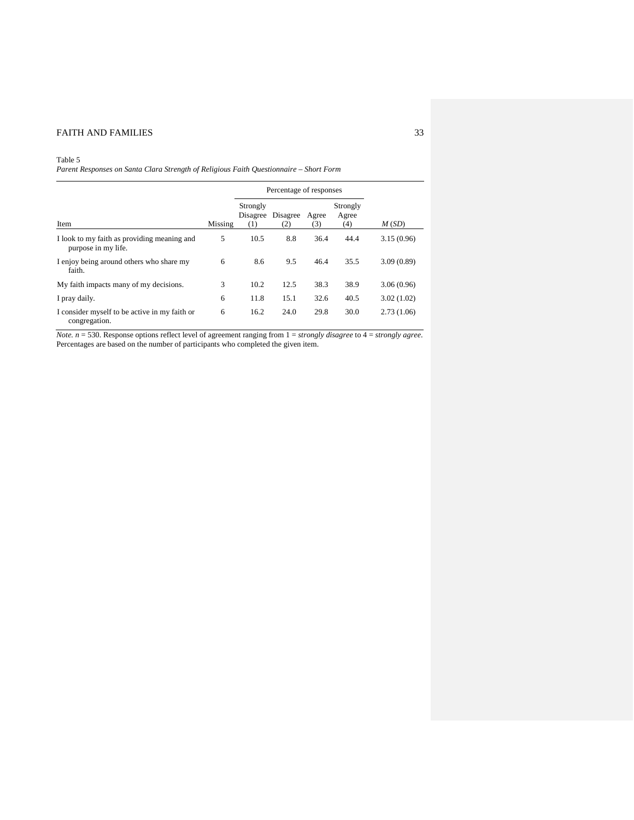# Table 5

*Parent Responses on Santa Clara Strength of Religious Faith Questionnaire – Short Form*

|                                                                    |         | Percentage of responses     |                 |              |                          |            |
|--------------------------------------------------------------------|---------|-----------------------------|-----------------|--------------|--------------------------|------------|
| Item                                                               | Missing | Strongly<br>Disagree<br>(1) | Disagree<br>(2) | Agree<br>(3) | Strongly<br>Agree<br>(4) | M(SD)      |
| I look to my faith as providing meaning and<br>purpose in my life. | 5       | 10.5                        | 8.8             | 36.4         | 44.4                     | 3.15(0.96) |
| I enjoy being around others who share my<br>faith.                 | 6       | 8.6                         | 9.5             | 46.4         | 35.5                     | 3.09(0.89) |
| My faith impacts many of my decisions.                             | 3       | 10.2                        | 12.5            | 38.3         | 38.9                     | 3.06(0.96) |
| I pray daily.                                                      | 6       | 11.8                        | 15.1            | 32.6         | 40.5                     | 3.02(1.02) |
| I consider myself to be active in my faith or<br>congregation.     | 6       | 16.2                        | 24.0            | 29.8         | 30.0                     | 2.73(1.06) |

*Note. n* = 530. Response options reflect level of agreement ranging from 1 = *strongly disagree* to 4 = *strongly agree*. Percentages are based on the number of participants who completed the given item.